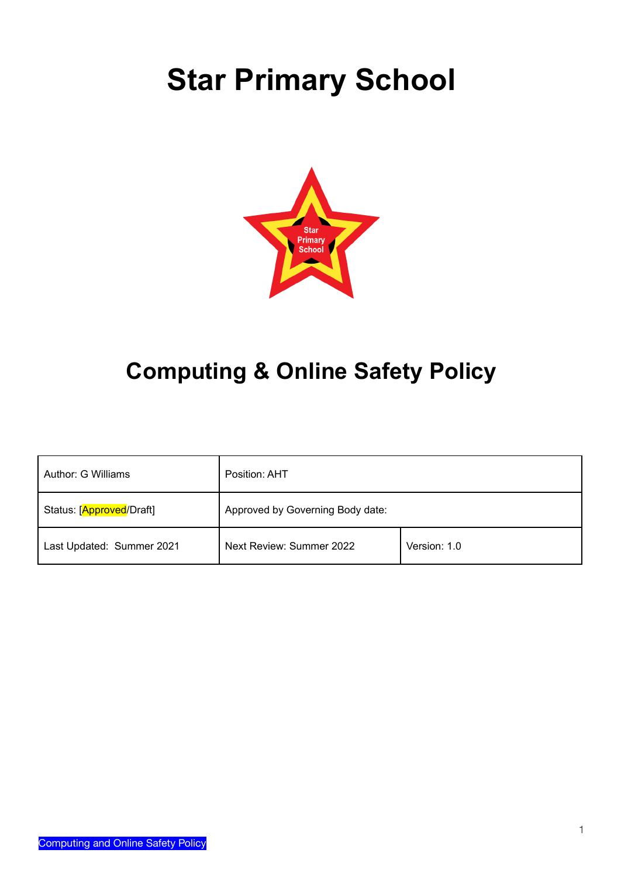# **Star Primary School**



# **Computing & Online Safety Policy**

| Author: G Williams        | Position: AHT                    |              |
|---------------------------|----------------------------------|--------------|
| Status: [Approved/Draft]  | Approved by Governing Body date: |              |
| Last Updated: Summer 2021 | Next Review: Summer 2022         | Version: 1.0 |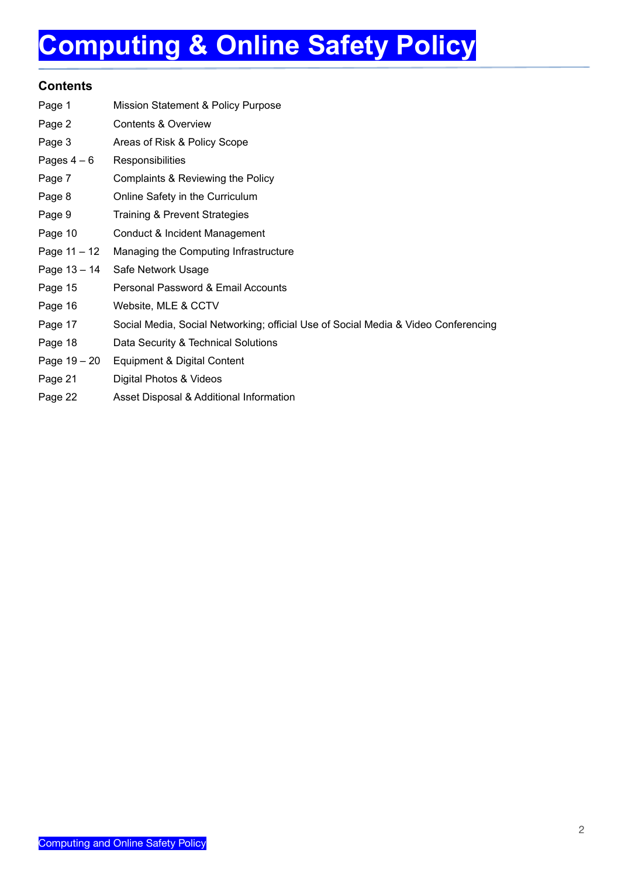# **Computing & Online Safety Policy**

### **Contents**

| Page 1         | Mission Statement & Policy Purpose                                                 |
|----------------|------------------------------------------------------------------------------------|
| Page 2         | Contents & Overview                                                                |
| Page 3         | Areas of Risk & Policy Scope                                                       |
| Pages $4-6$    | Responsibilities                                                                   |
| Page 7         | Complaints & Reviewing the Policy                                                  |
| Page 8         | Online Safety in the Curriculum                                                    |
| Page 9         | Training & Prevent Strategies                                                      |
| Page 10        | Conduct & Incident Management                                                      |
| Page $11 - 12$ | Managing the Computing Infrastructure                                              |
| Page 13 - 14   | Safe Network Usage                                                                 |
| Page 15        | Personal Password & Email Accounts                                                 |
| Page 16        | Website, MLE & CCTV                                                                |
| Page 17        | Social Media, Social Networking; official Use of Social Media & Video Conferencing |
| Page 18        | Data Security & Technical Solutions                                                |
| Page $19 - 20$ | Equipment & Digital Content                                                        |
| Page 21        | Digital Photos & Videos                                                            |
| Page 22        | Asset Disposal & Additional Information                                            |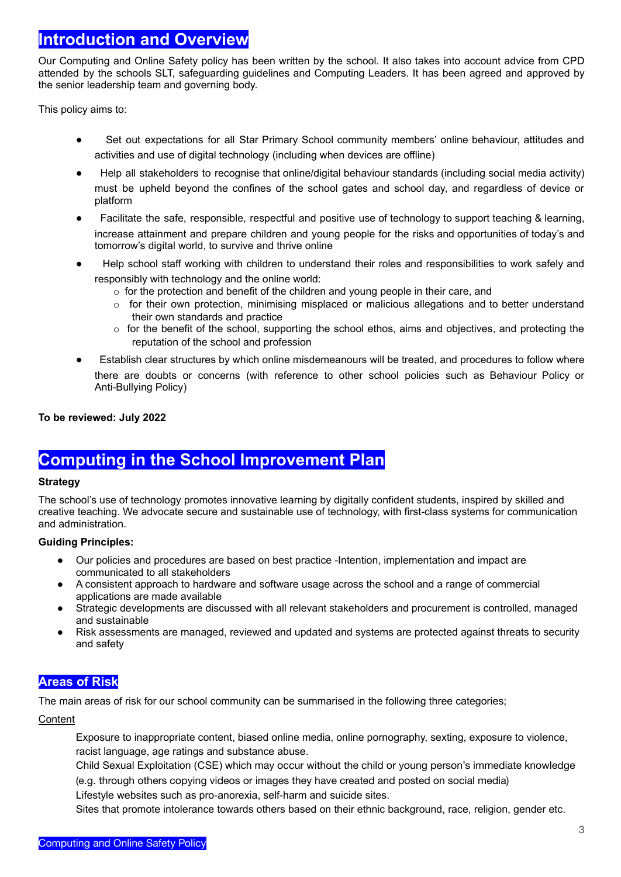### **Introduction and Overview**

Our Computing and Online Safety policy has been written by the school*.* It also takes into account advice from CPD attended by the schools SLT, safeguarding guidelines and Computing Leaders. It has been agreed and approved by the senior leadership team and governing body.

This policy aims to:

- Set out expectations for all Star Primary School community members' online behaviour, attitudes and activities and use of digital technology (including when devices are offline)
- Help all stakeholders to recognise that online/digital behaviour standards (including social media activity) must be upheld beyond the confines of the school gates and school day, and regardless of device or platform
- Facilitate the safe, responsible, respectful and positive use of technology to support teaching & learning, increase attainment and prepare children and young people for the risks and opportunities of today's and tomorrow's digital world, to survive and thrive online
- Help school staff working with children to understand their roles and responsibilities to work safely and responsibly with technology and the online world:
	- $\circ$  for the protection and benefit of the children and young people in their care, and
	- $\circ$  for their own protection, minimising misplaced or malicious allegations and to better understand their own standards and practice
	- $\circ$  for the benefit of the school, supporting the school ethos, aims and objectives, and protecting the reputation of the school and profession
- Establish clear structures by which online misdemeanours will be treated, and procedures to follow where there are doubts or concerns (with reference to other school policies such as Behaviour Policy or Anti-Bullying Policy)

**To be reviewed: July 2022**

### **Computing in the School Improvement Plan**

#### **Strategy**

The school's use of technology promotes innovative learning by digitally confident students, inspired by skilled and creative teaching. We advocate secure and sustainable use of technology, with first-class systems for communication and administration.

### **Guiding Principles:**

- Our policies and procedures are based on best practice -Intention, implementation and impact are communicated to all stakeholders
- A consistent approach to hardware and software usage across the school and a range of commercial applications are made available
- Strategic developments are discussed with all relevant stakeholders and procurement is controlled, managed and sustainable
- Risk assessments are managed, reviewed and updated and systems are protected against threats to security and safety

### **Areas of Risk**

The main areas of risk for our school community can be summarised in the following three categories;

### **Content**

Exposure to inappropriate content, biased online media, online pornography, sexting, exposure to violence, racist language, age ratings and substance abuse.

Child Sexual Exploitation (CSE) which may occur without the child or young person's immediate knowledge (e.g. through others copying videos or images they have created and posted on social media)

Lifestyle websites such as pro-anorexia, self-harm and suicide sites.

Sites that promote intolerance towards others based on their ethnic background, race, religion, gender etc.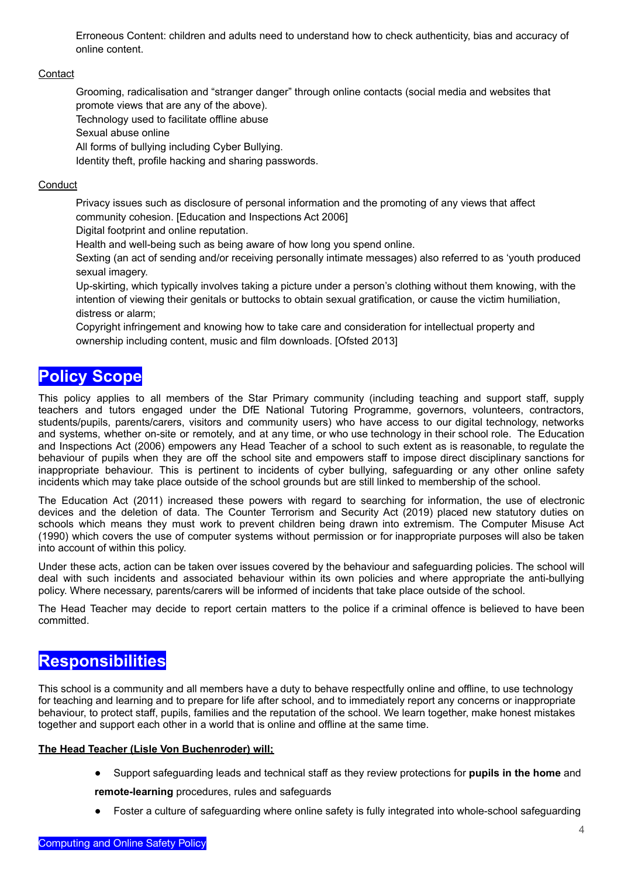Erroneous Content: children and adults need to understand how to check authenticity, bias and accuracy of online content.

#### **Contact**

Grooming, radicalisation and "stranger danger" through online contacts (social media and websites that promote views that are any of the above).

Technology used to facilitate offline abuse

Sexual abuse online

All forms of bullying including Cyber Bullying.

Identity theft, profile hacking and sharing passwords.

#### **Conduct**

Privacy issues such as disclosure of personal information and the promoting of any views that affect community cohesion. [Education and Inspections Act 2006]

Digital footprint and online reputation.

Health and well-being such as being aware of how long you spend online.

Sexting (an act of sending and/or receiving personally intimate messages) also referred to as 'youth produced sexual imagery.

Up-skirting, which typically involves taking a picture under a person's clothing without them knowing, with the intention of viewing their genitals or buttocks to obtain sexual gratification, or cause the victim humiliation, distress or alarm;

Copyright infringement and knowing how to take care and consideration for intellectual property and ownership including content, music and film downloads. [Ofsted 2013]

## **Policy Scope**

This policy applies to all members of the Star Primary community (including teaching and support staff, supply teachers and tutors engaged under the DfE National Tutoring Programme, governors, volunteers, contractors, students/pupils, parents/carers, visitors and community users) who have access to our digital technology, networks and systems, whether on-site or remotely, and at any time, or who use technology in their school role. The Education and Inspections Act (2006) empowers any Head Teacher of a school to such extent as is reasonable, to regulate the behaviour of pupils when they are off the school site and empowers staff to impose direct disciplinary sanctions for inappropriate behaviour. This is pertinent to incidents of cyber bullying, safeguarding or any other online safety incidents which may take place outside of the school grounds but are still linked to membership of the school.

The Education Act (2011) increased these powers with regard to searching for information, the use of electronic devices and the deletion of data. The Counter Terrorism and Security Act (2019) placed new statutory duties on schools which means they must work to prevent children being drawn into extremism. The Computer Misuse Act (1990) which covers the use of computer systems without permission or for inappropriate purposes will also be taken into account of within this policy.

Under these acts, action can be taken over issues covered by the behaviour and safeguarding policies. The school will deal with such incidents and associated behaviour within its own policies and where appropriate the anti-bullying policy. Where necessary, parents/carers will be informed of incidents that take place outside of the school.

The Head Teacher may decide to report certain matters to the police if a criminal offence is believed to have been committed.

### **Responsibilities**

This school is a community and all members have a duty to behave respectfully online and offline, to use technology for teaching and learning and to prepare for life after school, and to immediately report any concerns or inappropriate behaviour, to protect staff, pupils, families and the reputation of the school. We learn together, make honest mistakes together and support each other in a world that is online and offline at the same time.

#### **The Head Teacher (Lisle Von Buchenroder) will;**

● Support safeguarding leads and technical staff as they review protections for **pupils in the home** and

**remote-learning** procedures, rules and safeguards

● Foster a culture of safeguarding where online safety is fully integrated into whole-school safeguarding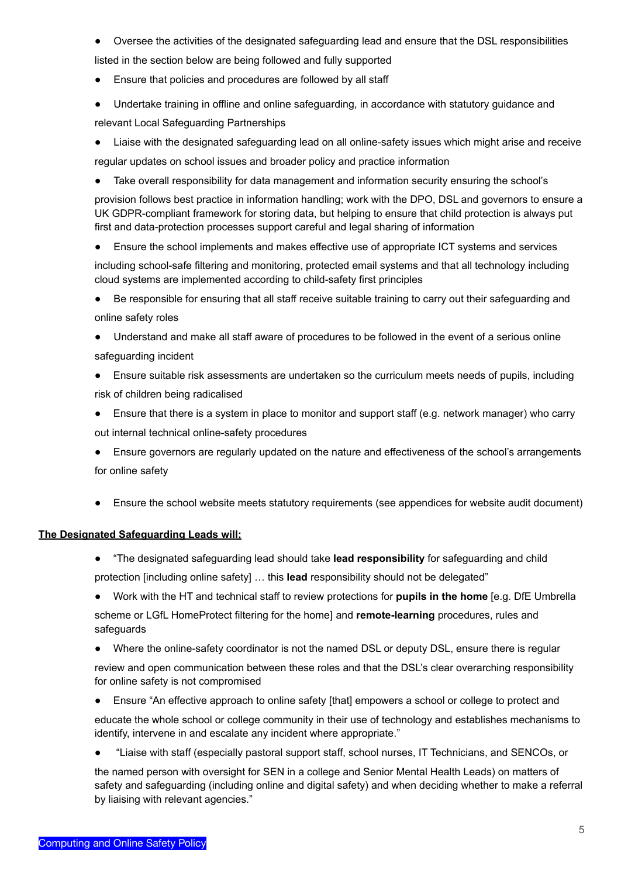- Oversee the activities of the designated safeguarding lead and ensure that the DSL responsibilities listed in the section below are being followed and fully supported
- Ensure that policies and procedures are followed by all staff
- Undertake training in offline and online safeguarding, in accordance with statutory guidance and relevant Local Safeguarding Partnerships
- Liaise with the designated safeguarding lead on all online-safety issues which might arise and receive
- regular updates on school issues and broader policy and practice information
- Take overall responsibility for data management and information security ensuring the school's

provision follows best practice in information handling; work with the DPO, DSL and governors to ensure a UK GDPR-compliant framework for storing data, but helping to ensure that child protection is always put first and data-protection processes support careful and legal sharing of information

• Ensure the school implements and makes effective use of appropriate ICT systems and services

including school-safe filtering and monitoring, protected email systems and that all technology including cloud systems are implemented according to child-safety first principles

- Be responsible for ensuring that all staff receive suitable training to carry out their safeguarding and online safety roles
- Understand and make all staff aware of procedures to be followed in the event of a serious online safeguarding incident
- Ensure suitable risk assessments are undertaken so the curriculum meets needs of pupils, including risk of children being radicalised
- Ensure that there is a system in place to monitor and support staff (e.g. network manager) who carry out internal technical online-safety procedures
- Ensure governors are regularly updated on the nature and effectiveness of the school's arrangements for online safety
- Ensure the school website meets statutory requirements (see appendices for website audit document)

### **The Designated Safeguarding Leads will;**

- "The designated safeguarding lead should take **lead responsibility** for safeguarding and child protection [including online safety] … this **lead** responsibility should not be delegated"
- Work with the HT and technical staff to review protections for **pupils in the home** [e.g. DfE Umbrella scheme or LGfL HomeProtect filtering for the home] and **remote-learning** procedures, rules and safeguards
- Where the online-safety coordinator is not the named DSL or deputy DSL, ensure there is regular

review and open communication between these roles and that the DSL's clear overarching responsibility for online safety is not compromised

• Ensure "An effective approach to online safety [that] empowers a school or college to protect and

educate the whole school or college community in their use of technology and establishes mechanisms to identify, intervene in and escalate any incident where appropriate."

● "Liaise with staff (especially pastoral support staff, school nurses, IT Technicians, and SENCOs, or

the named person with oversight for SEN in a college and Senior Mental Health Leads) on matters of safety and safeguarding (including online and digital safety) and when deciding whether to make a referral by liaising with relevant agencies."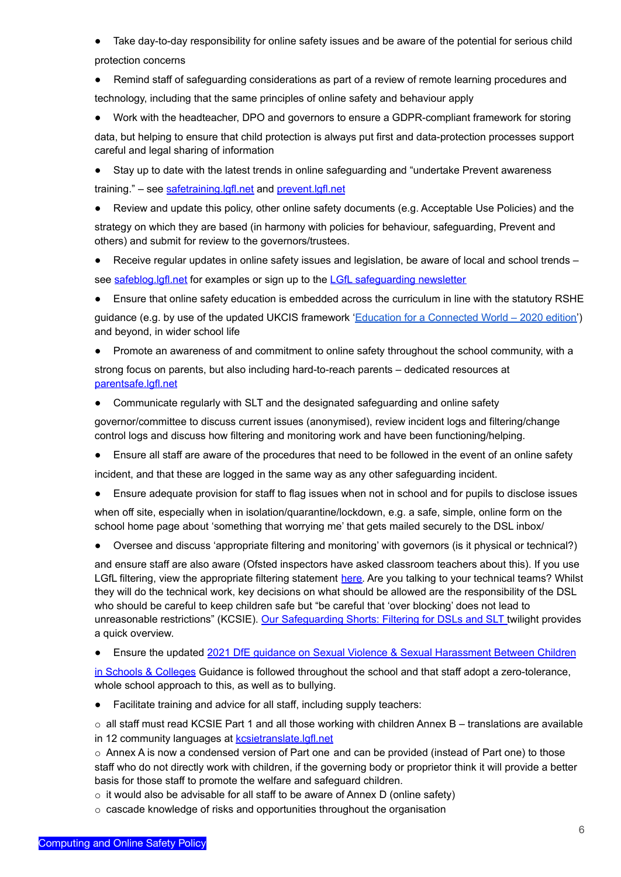● Take day-to-day responsibility for online safety issues and be aware of the potential for serious child protection concerns

● Remind staff of safeguarding considerations as part of a review of remote learning procedures and technology, including that the same principles of online safety and behaviour apply

Work with the headteacher, DPO and governors to ensure a GDPR-compliant framework for storing data, but helping to ensure that child protection is always put first and data-protection processes support careful and legal sharing of information

● Stay up to date with the latest trends in online safeguarding and "undertake Prevent awareness training." – see [safetraining.lgfl.net](https://www.lgfl.net/training/default.aspx?c=dac7c0c1-07ef-46f9-98a7-f6d6a8c3d62b) and [prevent.lgfl.net](https://prevent.lgfl.net)

Review and update this policy, other online safety documents (e.g. Acceptable Use Policies) and the strategy on which they are based (in harmony with policies for behaviour, safeguarding, Prevent and others) and submit for review to the governors/trustees.

● Receive regular updates in online safety issues and legislation, be aware of local and school trends – see [safeblog.lgfl.net](https://safeblog.lgfl.net) for examples or sign up to the LGfL [safeguarding](https://safenewsletter.lgfl.net) newsletter

● Ensure that online safety education is embedded across the curriculum in line with the statutory RSHE

guidance (e.g. by use of the updated UKCIS framework 'Education for a [Connected](https://assets.publishing.service.gov.uk/government/uploads/system/uploads/attachment_data/file/896323/UKCIS_Education_for_a_Connected_World_.pdf) World – 2020 edition') and beyond, in wider school life

- Promote an awareness of and commitment to online safety throughout the school community, with a strong focus on parents, but also including hard-to-reach parents – dedicated resources a[t](https://parentsafe.lgfl.net) [parentsafe.lgfl.net](https://parentsafe.lgfl.net)
- Communicate regularly with SLT and the designated safeguarding and online safety

governor/committee to discuss current issues (anonymised), review incident logs and filtering/change control logs and discuss how filtering and monitoring work and have been functioning/helping.

● Ensure all staff are aware of the procedures that need to be followed in the event of an online safety

incident, and that these are logged in the same way as any other safeguarding incident.

Ensure adequate provision for staff to flag issues when not in school and for pupils to disclose issues

when off site, especially when in isolation/quarantine/lockdown, e.g. a safe, simple, online form on the school home page about 'something that worrying me' that gets mailed securely to the DSL inbox/

● Oversee and discuss 'appropriate filtering and monitoring' with governors (is it physical or technical?)

and ensure staff are also aware (Ofsted inspectors have asked classroom teachers about this). If you use LGfL filtering, view the appropriate filtering statement [here.](https://www.saferinternet.org.uk/advice-centre/teachers-and-professionals/appropriate-filtering-and-monitoring/provider-responses-0) Are you talking to your technical teams? Whilst they will do the technical work, key decisions on what should be allowed are the responsibility of the DSL who should be careful to keep children safe but "be careful that 'over blocking' does not lead to unreasonable restrictions" (KCSIE). Our [Safeguarding](https://www.lgfl.net/training/dyn/3c9befd2-058a-40fd-aeb8-6d45109b1276) Shorts: Filtering for DSLs and SLT twilight provides a quick overview.

#### Ensure the updated 2021 DfE guidance on Sexual Violence & Sexual [Harassment](https://www.gov.uk/government/publications/sexual-violence-and-sexual-harassment-between-children-in-schools-and-colleges) Between Children

in Schools & [Colleges](https://www.gov.uk/government/publications/sexual-violence-and-sexual-harassment-between-children-in-schools-and-colleges) Guidance is followed throughout the school and that staff adopt a zero-tolerance, whole school approach to this, as well as to bullying.

● Facilitate training and advice for all staff, including supply teachers:

o all staff must read KCSIE Part 1 and all those working with children Annex B – translations are available in 12 community languages at **[kcsietranslate.lgfl.net](https://national.lgfl.net/digisafe/kcsietranslate)** 

 $\circ$  Annex A is now a condensed version of Part one and can be provided (instead of Part one) to those staff who do not directly work with children, if the governing body or proprietor think it will provide a better basis for those staff to promote the welfare and safeguard children.

o it would also be advisable for all staff to be aware of Annex D (online safety)

o cascade knowledge of risks and opportunities throughout the organisation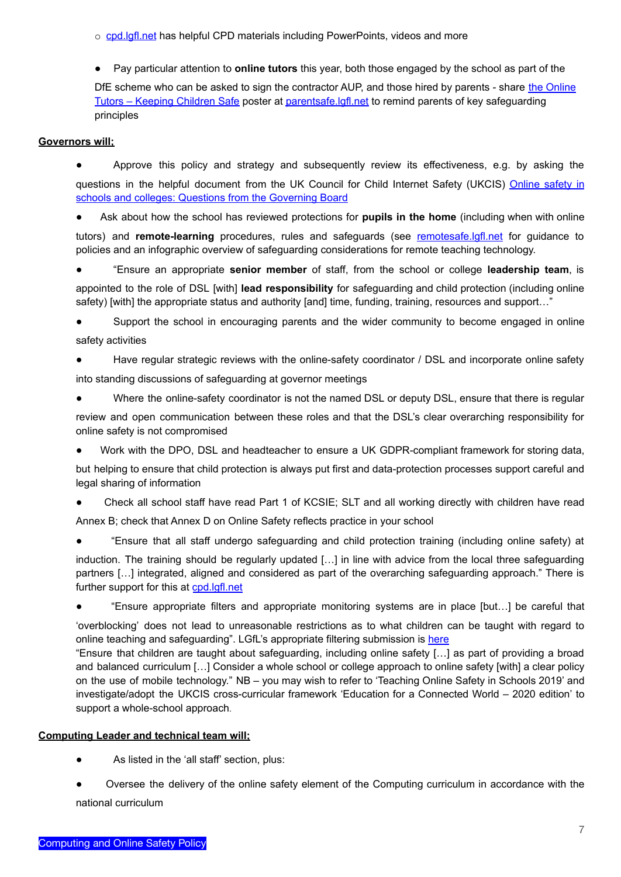o [cpd.lgfl.net](http://cpd.lgfl.net) has helpful CPD materials including PowerPoints, videos and more

● Pay particular attention to **online tutors** this year, both those engaged by the school as part of the

DfE scheme who can be asked to sign the contractor AUP, and those hired by parents - share the [Online](https://static.lgfl.net/LgflNet/downloads/online-safety/posters/LGfL-DigiSafe-Online-Tutors-Safeguarding-Guidance.pdf) Tutors – Keeping [Children](https://static.lgfl.net/LgflNet/downloads/online-safety/posters/LGfL-DigiSafe-Online-Tutors-Safeguarding-Guidance.pdf) Safe poster at [parentsafe.lgfl.net](https://parentsafe.lgfl.net) to remind parents of key safeguarding principles

### **Governors will;**

● Approve this policy and strategy and subsequently review its effectiveness, e.g. by asking the questions in the helpful document from the UK Council for Child Internet Safety (UKCIS) [Online](https://assets.publishing.service.gov.uk/government/uploads/system/uploads/attachment_data/file/562876/Guidance_for_School_Governors_-_Question_list.pdf) safety in schools and colleges: Questions from the [Governing](https://assets.publishing.service.gov.uk/government/uploads/system/uploads/attachment_data/file/562876/Guidance_for_School_Governors_-_Question_list.pdf) Board

Ask about how the school has reviewed protections for pupils in the home (including when with online tutors) and **remote-learning** procedures, rules and safeguards (see [remotesafe.lgfl.net](https://national.lgfl.net/digisafe/safe-remote-learning) for guidance to policies and an infographic overview of safeguarding considerations for remote teaching technology.

● "Ensure an appropriate **senior member** of staff, from the school or college **leadership team**, is

appointed to the role of DSL [with] **lead responsibility** for safeguarding and child protection (including online safety) [with] the appropriate status and authority [and] time, funding, training, resources and support..."

Support the school in encouraging parents and the wider community to become engaged in online safety activities

- Have regular strategic reviews with the online-safety coordinator / DSL and incorporate online safety into standing discussions of safeguarding at governor meetings
- Where the online-safety coordinator is not the named DSL or deputy DSL, ensure that there is regular

review and open communication between these roles and that the DSL's clear overarching responsibility for online safety is not compromised

Work with the DPO, DSL and headteacher to ensure a UK GDPR-compliant framework for storing data,

but helping to ensure that child protection is always put first and data-protection processes support careful and legal sharing of information

Check all school staff have read Part 1 of KCSIE; SLT and all working directly with children have read

Annex B; check that Annex D on Online Safety reflects practice in your school

"Ensure that all staff undergo safeguarding and child protection training (including online safety) at

induction. The training should be regularly updated […] in line with advice from the local three safeguarding partners […] integrated, aligned and considered as part of the overarching safeguarding approach." There is further support for this at [cpd.lgfl.net](http://cpd.lgfl.net)

"Ensure appropriate filters and appropriate monitoring systems are in place [but...] be careful that

'overblocking' does not lead to unreasonable restrictions as to what children can be taught with regard to online teaching and safeguarding". LGfL's appropriate filtering submission is [here](https://www.saferinternet.org.uk/advice-centre/teachers-and-school-staff/appropriate-filtering-and-monitoring/provider-responses)

"Ensure that children are taught about safeguarding, including online safety […] as part of providing a broad and balanced curriculum […] Consider a whole school or college approach to online safety [with] a clear policy on the use of mobile technology." NB – you may wish to refer to 'Teaching Online Safety in Schools 2019' and investigate/adopt the UKCIS cross-curricular framework 'Education for a Connected World – 2020 edition' to support a whole-school approach.

### **Computing Leader and technical team will;**

- As listed in the 'all staff' section, plus:
- Oversee the delivery of the online safety element of the Computing curriculum in accordance with the national curriculum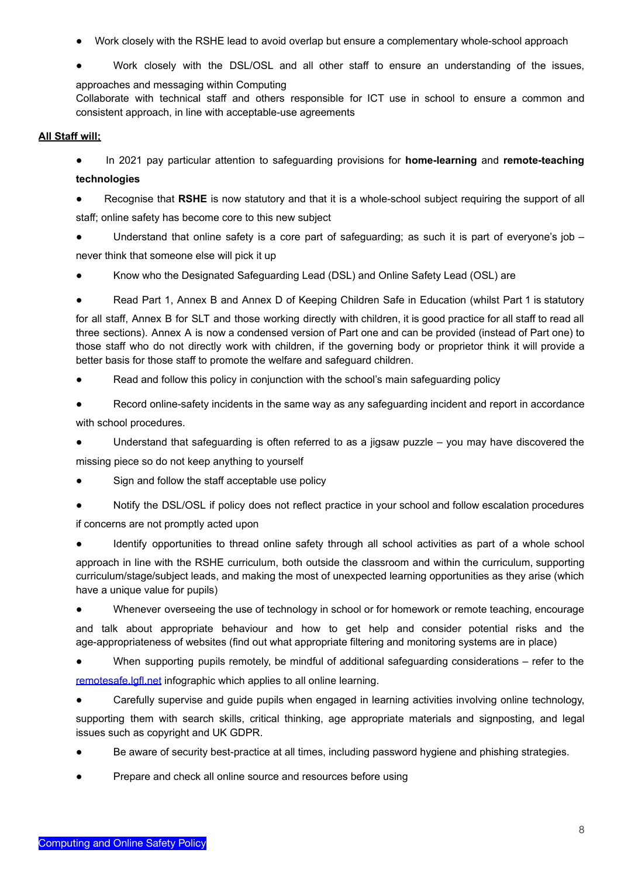- Work closely with the RSHE lead to avoid overlap but ensure a complementary whole-school approach
- Work closely with the DSL/OSL and all other staff to ensure an understanding of the issues,

approaches and messaging within Computing

Collaborate with technical staff and others responsible for ICT use in school to ensure a common and consistent approach, in line with acceptable-use agreements

### **All Staff will;**

● In 2021 pay particular attention to safeguarding provisions for **home-learning** and **remote-teaching**

### **technologies**

- Recognise that RSHE is now statutory and that it is a whole-school subject requiring the support of all staff; online safety has become core to this new subject
- Understand that online safety is a core part of safeguarding; as such it is part of everyone's job never think that someone else will pick it up
- Know who the Designated Safeguarding Lead (DSL) and Online Safety Lead (OSL) are
- Read Part 1, Annex B and Annex D of Keeping Children Safe in Education (whilst Part 1 is statutory

for all staff, Annex B for SLT and those working directly with children, it is good practice for all staff to read all three sections). Annex A is now a condensed version of Part one and can be provided (instead of Part one) to those staff who do not directly work with children, if the governing body or proprietor think it will provide a better basis for those staff to promote the welfare and safeguard children.

- Read and follow this policy in conjunction with the school's main safeguarding policy
- Record online-safety incidents in the same way as any safeguarding incident and report in accordance with school procedures.
- Understand that safeguarding is often referred to as a jigsaw puzzle you may have discovered the missing piece so do not keep anything to yourself
- Sign and follow the staff acceptable use policy
- Notify the DSL/OSL if policy does not reflect practice in your school and follow escalation procedures if concerns are not promptly acted upon
- Identify opportunities to thread online safety through all school activities as part of a whole school

approach in line with the RSHE curriculum, both outside the classroom and within the curriculum, supporting curriculum/stage/subject leads, and making the most of unexpected learning opportunities as they arise (which have a unique value for pupils)

● Whenever overseeing the use of technology in school or for homework or remote teaching, encourage and talk about appropriate behaviour and how to get help and consider potential risks and the age-appropriateness of websites (find out what appropriate filtering and monitoring systems are in place)

● When supporting pupils remotely, be mindful of additional safeguarding considerations – refer to the [remotesafe.lgfl.net](https://national.lgfl.net/digisafe/safe-remote-learning) infographic which applies to all online learning.

● Carefully supervise and guide pupils when engaged in learning activities involving online technology, supporting them with search skills, critical thinking, age appropriate materials and signposting, and legal issues such as copyright and UK GDPR.

- Be aware of security best-practice at all times, including password hygiene and phishing strategies.
- Prepare and check all online source and resources before using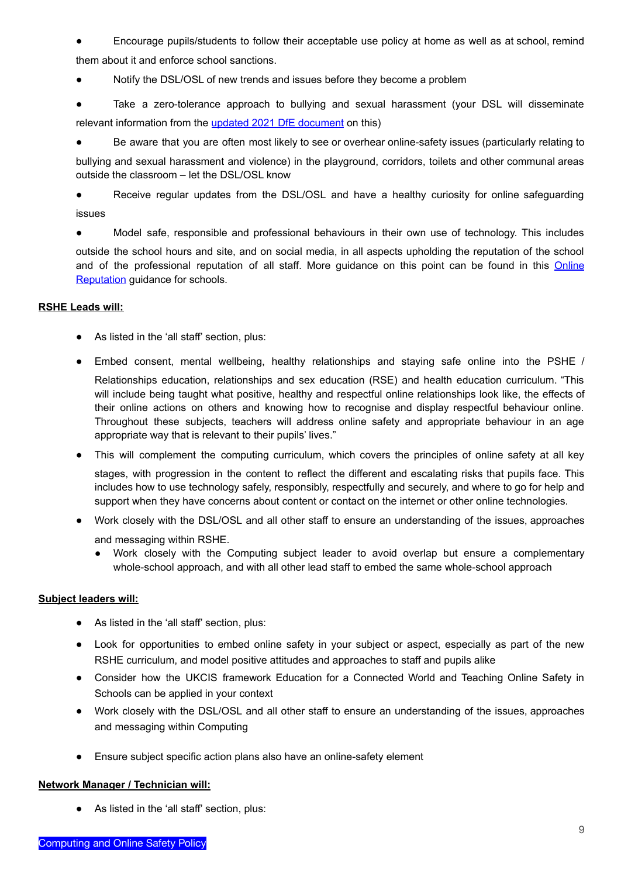Encourage pupils/students to follow their acceptable use policy at home as well as at school, remind them about it and enforce school sanctions.

● Notify the DSL/OSL of new trends and issues before they become a problem

● Take a zero-tolerance approach to bullying and sexual harassment (your DSL will disseminate relevant information from the updated 2021 DfE [document](https://www.gov.uk/government/publications/sexual-violence-and-sexual-harassment-between-children-in-schools-and-colleges) on this)

● Be aware that you are often most likely to see or overhear online-safety issues (particularly relating to

bullying and sexual harassment and violence) in the playground, corridors, toilets and other communal areas outside the classroom – let the DSL/OSL know

● Receive regular updates from the DSL/OSL and have a healthy curiosity for online safeguarding issues

● Model safe, responsible and professional behaviours in their own use of technology. This includes

outside the school hours and site, and on social media, in all aspects upholding the reputation of the school and of the professional reputation of all staff. More guidance on this point can be found in this [Online](http://onlinerep.lgfl.net) [Reputation](http://onlinerep.lgfl.net) guidance for schools.

#### **RSHE Leads will:**

- As listed in the 'all staff' section, plus:
- Embed consent, mental wellbeing, healthy relationships and staying safe online into the PSHE /

Relationships education, relationships and sex education (RSE) and health education curriculum. "This will include being taught what positive, healthy and respectful online relationships look like, the effects of their online actions on others and knowing how to recognise and display respectful behaviour online. Throughout these subjects, teachers will address online safety and appropriate behaviour in an age appropriate way that is relevant to their pupils' lives."

- This will complement the computing curriculum, which covers the principles of online safety at all key stages, with progression in the content to reflect the different and escalating risks that pupils face. This includes how to use technology safely, responsibly, respectfully and securely, and where to go for help and support when they have concerns about content or contact on the internet or other online technologies.
- Work closely with the DSL/OSL and all other staff to ensure an understanding of the issues, approaches and messaging within RSHE.
	- Work closely with the Computing subject leader to avoid overlap but ensure a complementary whole-school approach, and with all other lead staff to embed the same whole-school approach

#### **Subject leaders will:**

- As listed in the 'all staff' section, plus:
- Look for opportunities to embed online safety in your subject or aspect, especially as part of the new RSHE curriculum, and model positive attitudes and approaches to staff and pupils alike
- Consider how the UKCIS framework Education for a Connected World and Teaching Online Safety in Schools can be applied in your context
- Work closely with the DSL/OSL and all other staff to ensure an understanding of the issues, approaches and messaging within Computing
- Ensure subject specific action plans also have an online-safety element

#### **Network Manager / Technician will:**

● As listed in the 'all staff' section, plus: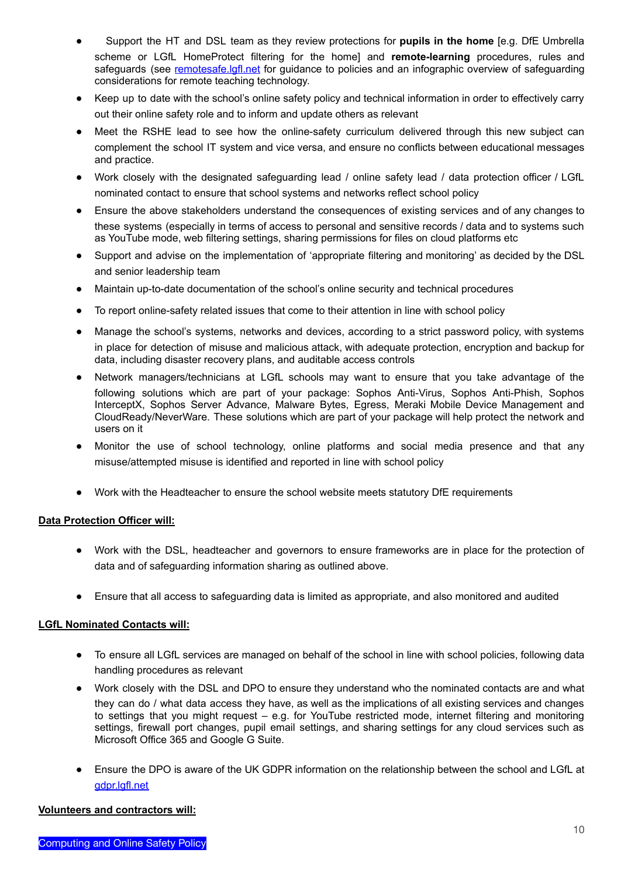- Support the HT and DSL team as they review protections for **pupils in the home** [e.g. DfE Umbrella scheme or LGfL HomeProtect filtering for the home] and **remote-learning** procedures, rules and safeguards (see [remotesafe.lgfl.net](https://national.lgfl.net/digisafe/safe-remote-learning) for guidance to policies and an infographic overview of safeguarding considerations for remote teaching technology.
- Keep up to date with the school's online safety policy and technical information in order to effectively carry out their online safety role and to inform and update others as relevant
- Meet the RSHE lead to see how the online-safety curriculum delivered through this new subject can complement the school IT system and vice versa, and ensure no conflicts between educational messages and practice.
- Work closely with the designated safeguarding lead / online safety lead / data protection officer / LGfL nominated contact to ensure that school systems and networks reflect school policy
- Ensure the above stakeholders understand the consequences of existing services and of any changes to these systems (especially in terms of access to personal and sensitive records / data and to systems such as YouTube mode, web filtering settings, sharing permissions for files on cloud platforms etc
- Support and advise on the implementation of 'appropriate filtering and monitoring' as decided by the DSL and senior leadership team
- Maintain up-to-date documentation of the school's online security and technical procedures
- To report online-safety related issues that come to their attention in line with school policy
- Manage the school's systems, networks and devices, according to a strict password policy, with systems in place for detection of misuse and malicious attack, with adequate protection, encryption and backup for data, including disaster recovery plans, and auditable access controls
- Network managers/technicians at LGfL schools may want to ensure that you take advantage of the following solutions which are part of your package: Sophos Anti-Virus, Sophos Anti-Phish, Sophos InterceptX, Sophos Server Advance, Malware Bytes, Egress, Meraki Mobile Device Management and CloudReady/NeverWare. These solutions which are part of your package will help protect the network and users on it
- Monitor the use of school technology, online platforms and social media presence and that any misuse/attempted misuse is identified and reported in line with school policy
- Work with the Headteacher to ensure the school website meets statutory DfE requirements

### **Data Protection Officer will:**

- Work with the DSL, headteacher and governors to ensure frameworks are in place for the protection of data and of safeguarding information sharing as outlined above.
- Ensure that all access to safeguarding data is limited as appropriate, and also monitored and audited

#### **LGfL Nominated Contacts will:**

- To ensure all LGfL services are managed on behalf of the school in line with school policies, following data handling procedures as relevant
- Work closely with the DSL and DPO to ensure they understand who the nominated contacts are and what they can do / what data access they have, as well as the implications of all existing services and changes to settings that you might request – e.g. for YouTube restricted mode, internet filtering and monitoring settings, firewall port changes, pupil email settings, and sharing settings for any cloud services such as Microsoft Office 365 and Google G Suite.
- Ensure [t](https://gdpr.lgfl.net)he DPO is aware of the UK GDPR information on the relationship between the school and LGfL at [gdpr.lgfl.net](https://gdpr.lgfl.net)

#### **Volunteers and contractors will:**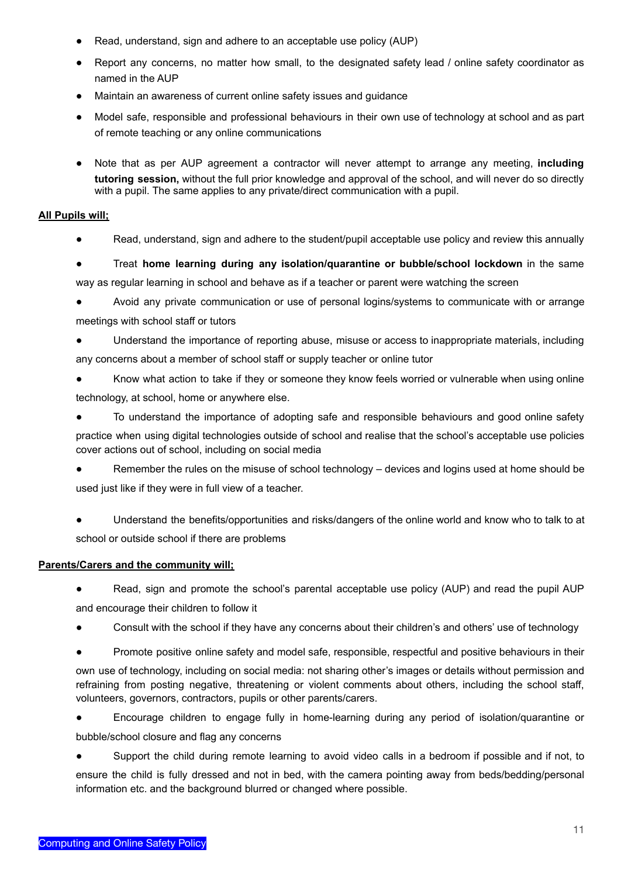- Read, understand, sign and adhere to an acceptable use policy (AUP)
- Report any concerns, no matter how small, to the designated safety lead / online safety coordinator as named in the AUP
- Maintain an awareness of current online safety issues and guidance
- Model safe, responsible and professional behaviours in their own use of technology at school and as part of remote teaching or any online communications
- Note that as per AUP agreement a contractor will never attempt to arrange any meeting, **including tutoring session,** without the full prior knowledge and approval of the school, and will never do so directly with a pupil. The same applies to any private/direct communication with a pupil.

#### **All Pupils will;**

Read, understand, sign and adhere to the student/pupil acceptable use policy and review this annually

● Treat **home learning during any isolation/quarantine or bubble/school lockdown** in the same way as regular learning in school and behave as if a teacher or parent were watching the screen

● Avoid any private communication or use of personal logins/systems to communicate with or arrange meetings with school staff or tutors

Understand the importance of reporting abuse, misuse or access to inappropriate materials, including any concerns about a member of school staff or supply teacher or online tutor

● Know what action to take if they or someone they know feels worried or vulnerable when using online technology, at school, home or anywhere else.

● To understand the importance of adopting safe and responsible behaviours and good online safety practice when using digital technologies outside of school and realise that the school's acceptable use policies cover actions out of school, including on social media

Remember the rules on the misuse of school technology  $-$  devices and logins used at home should be used just like if they were in full view of a teacher.

Understand the benefits/opportunities and risks/dangers of the online world and know who to talk to at school or outside school if there are problems

#### **Parents/Carers and the community will;**

● Read, sign and promote the school's parental acceptable use policy (AUP) and read the pupil AUP and encourage their children to follow it

- Consult with the school if they have any concerns about their children's and others' use of technology
- Promote positive online safety and model safe, responsible, respectful and positive behaviours in their

own use of technology, including on social media: not sharing other's images or details without permission and refraining from posting negative, threatening or violent comments about others, including the school staff, volunteers, governors, contractors, pupils or other parents/carers.

● Encourage children to engage fully in home-learning during any period of isolation/quarantine or bubble/school closure and flag any concerns

● Support the child during remote learning to avoid video calls in a bedroom if possible and if not, to ensure the child is fully dressed and not in bed, with the camera pointing away from beds/bedding/personal information etc. and the background blurred or changed where possible.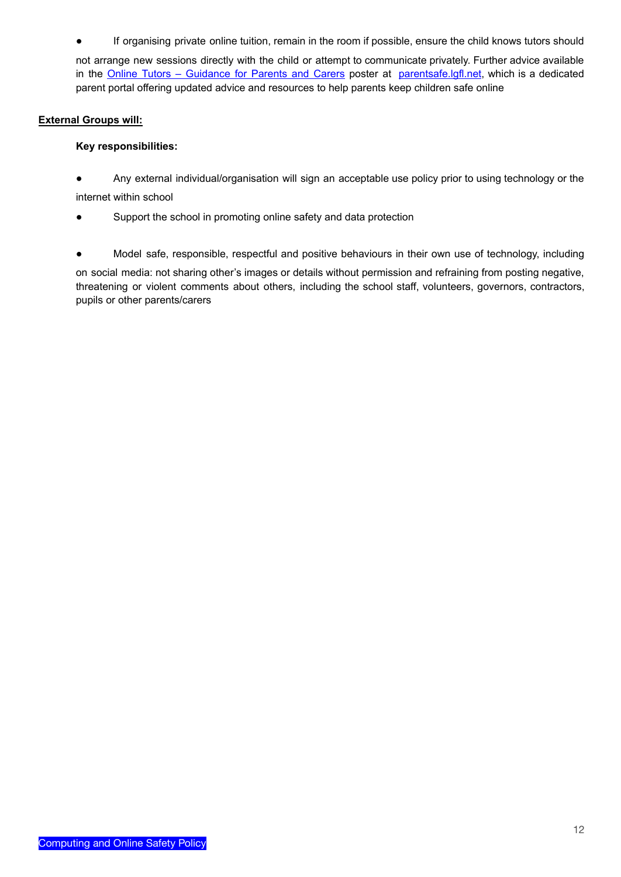If organising private online tuition, remain in the room if possible, ensure the child knows tutors should

not arrange new sessions directly with the child or attempt to communicate privately. Further advice available in the Online Tutors – [Guidance](https://static.lgfl.net/LgflNet/downloads/online-safety/posters/LGfL-DigiSafe-Online-Tutors-Safeguarding-Guidance.pdf) for Parents and Carers poster at [parentsafe.lgfl.net](https://parentsafe.lgfl.net/body-safe-sharing-content-online), which is a dedicated parent portal offering updated advice and resources to help parents keep children safe online

### **External Groups will:**

### **Key responsibilities:**

● Any external individual/organisation will sign an acceptable use policy prior to using technology or the internet within school

- Support the school in promoting online safety and data protection
- Model safe, responsible, respectful and positive behaviours in their own use of technology, including

on social media: not sharing other's images or details without permission and refraining from posting negative, threatening or violent comments about others, including the school staff, volunteers, governors, contractors, pupils or other parents/carers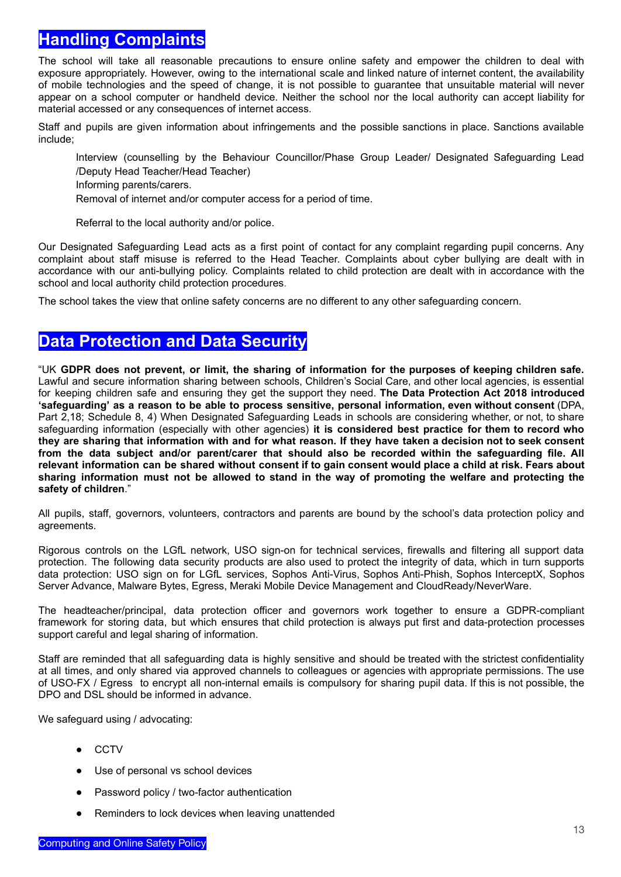# **Handling Complaints**

The school will take all reasonable precautions to ensure online safety and empower the children to deal with exposure appropriately. However, owing to the international scale and linked nature of internet content, the availability of mobile technologies and the speed of change, it is not possible to guarantee that unsuitable material will never appear on a school computer or handheld device. Neither the school nor the local authority can accept liability for material accessed or any consequences of internet access.

Staff and pupils are given information about infringements and the possible sanctions in place. Sanctions available include;

Interview (counselling by the Behaviour Councillor/Phase Group Leader/ Designated Safeguarding Lead /Deputy Head Teacher/Head Teacher)

Informing parents/carers.

Removal of internet and/or computer access for a period of time.

Referral to the local authority and/or police.

Our Designated Safeguarding Lead acts as a first point of contact for any complaint regarding pupil concerns. Any complaint about staff misuse is referred to the Head Teacher. Complaints about cyber bullying are dealt with in accordance with our anti-bullying policy. Complaints related to child protection are dealt with in accordance with the school and local authority child protection procedures.

The school takes the view that online safety concerns are no different to any other safeguarding concern.

### **Data Protection and Data Security**

"UK GDPR does not prevent, or limit, the sharing of information for the purposes of keeping children safe. Lawful and secure information sharing between schools, Children's Social Care, and other local agencies, is essential for keeping children safe and ensuring they get the support they need. **The Data Protection Act 2018 introduced 'safeguarding' as a reason to be able to process sensitive, personal information, even without consent** (DPA, Part 2,18; Schedule 8, 4) When Designated Safeguarding Leads in schools are considering whether, or not, to share safeguarding information (especially with other agencies) **it is considered best practice for them to record who** they are sharing that information with and for what reason. If they have taken a decision not to seek consent **from the data subject and/or parent/carer that should also be recorded within the safeguarding file. All** relevant information can be shared without consent if to gain consent would place a child at risk. Fears about sharing information must not be allowed to stand in the way of promoting the welfare and protecting the **safety of children**."

All pupils, staff, governors, volunteers, contractors and parents are bound by the school's data protection policy and agreements.

Rigorous controls on the LGfL network, USO sign-on for technical services, firewalls and filtering all support data protection. The following data security products are also used to protect the integrity of data, which in turn supports data protection: USO sign on for LGfL services, Sophos Anti-Virus, Sophos Anti-Phish, Sophos InterceptX, Sophos Server Advance, Malware Bytes, Egress, Meraki Mobile Device Management and CloudReady/NeverWare.

The headteacher/principal, data protection officer and governors work together to ensure a GDPR-compliant framework for storing data, but which ensures that child protection is always put first and data-protection processes support careful and legal sharing of information.

Staff are reminded that all safeguarding data is highly sensitive and should be treated with the strictest confidentiality at all times, and only shared via approved channels to colleagues or agencies with appropriate permissions. The use of USO-FX / Egress to encrypt all non-internal emails is compulsory for sharing pupil data. If this is not possible, the DPO and DSL should be informed in advance.

We safequard using / advocating:

- CCTV
- Use of personal vs school devices
- Password policy / two-factor authentication
- Reminders to lock devices when leaving unattended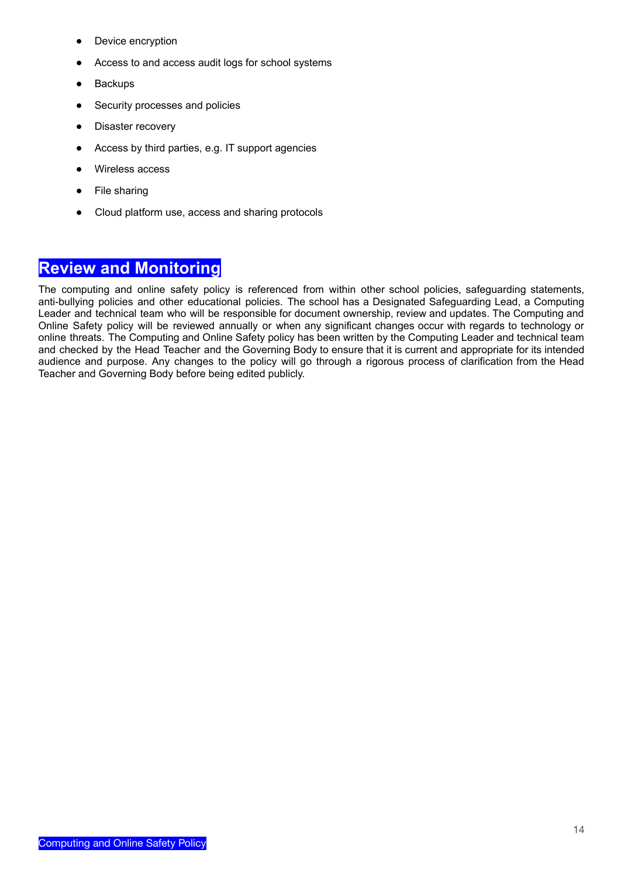- Device encryption
- Access to and access audit logs for school systems
- Backups
- Security processes and policies
- Disaster recovery
- Access by third parties, e.g. IT support agencies
- Wireless access
- File sharing
- Cloud platform use, access and sharing protocols

### **Review and Monitoring**

The computing and online safety policy is referenced from within other school policies, safeguarding statements, anti-bullying policies and other educational policies. The school has a Designated Safeguarding Lead, a Computing Leader and technical team who will be responsible for document ownership, review and updates. The Computing and Online Safety policy will be reviewed annually or when any significant changes occur with regards to technology or online threats. The Computing and Online Safety policy has been written by the Computing Leader and technical team and checked by the Head Teacher and the Governing Body to ensure that it is current and appropriate for its intended audience and purpose. Any changes to the policy will go through a rigorous process of clarification from the Head Teacher and Governing Body before being edited publicly.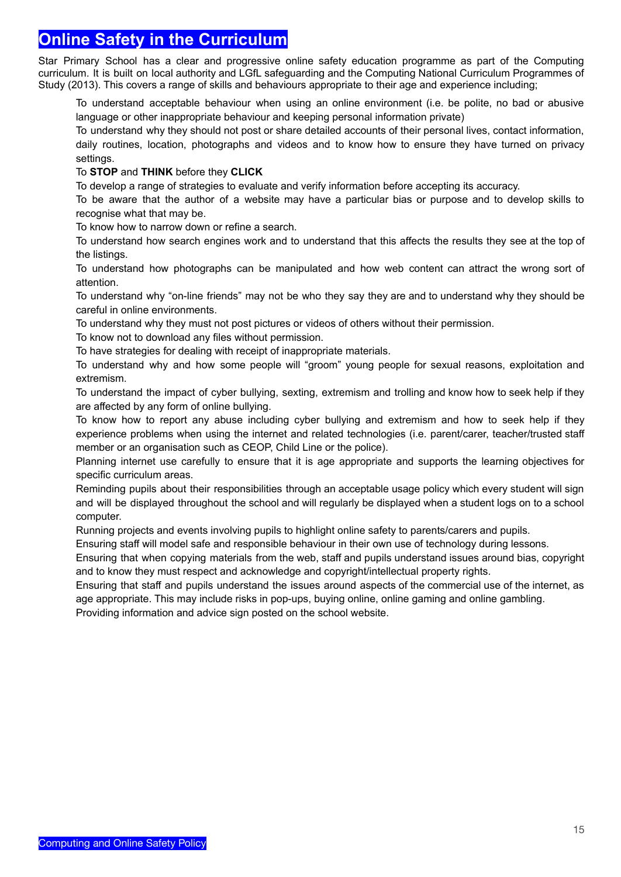### **Online Safety in the Curriculum**

Star Primary School has a clear and progressive online safety education programme as part of the Computing curriculum. It is built on local authority and LGfL safeguarding and the Computing National Curriculum Programmes of Study (2013). This covers a range of skills and behaviours appropriate to their age and experience including;

To understand acceptable behaviour when using an online environment (i.e. be polite, no bad or abusive language or other inappropriate behaviour and keeping personal information private)

To understand why they should not post or share detailed accounts of their personal lives, contact information, daily routines, location, photographs and videos and to know how to ensure they have turned on privacy settings.

#### To **STOP** and **THINK** before they **CLICK**

To develop a range of strategies to evaluate and verify information before accepting its accuracy.

To be aware that the author of a website may have a particular bias or purpose and to develop skills to recognise what that may be.

To know how to narrow down or refine a search.

To understand how search engines work and to understand that this affects the results they see at the top of the listings.

To understand how photographs can be manipulated and how web content can attract the wrong sort of attention.

To understand why "on-line friends" may not be who they say they are and to understand why they should be careful in online environments.

To understand why they must not post pictures or videos of others without their permission.

To know not to download any files without permission.

To have strategies for dealing with receipt of inappropriate materials.

To understand why and how some people will "groom" young people for sexual reasons, exploitation and extremism.

To understand the impact of cyber bullying, sexting, extremism and trolling and know how to seek help if they are affected by any form of online bullying.

To know how to report any abuse including cyber bullying and extremism and how to seek help if they experience problems when using the internet and related technologies (i.e. parent/carer, teacher/trusted staff member or an organisation such as CEOP, Child Line or the police).

Planning internet use carefully to ensure that it is age appropriate and supports the learning objectives for specific curriculum areas.

Reminding pupils about their responsibilities through an acceptable usage policy which every student will sign and will be displayed throughout the school and will regularly be displayed when a student logs on to a school computer.

Running projects and events involving pupils to highlight online safety to parents/carers and pupils.

Ensuring staff will model safe and responsible behaviour in their own use of technology during lessons.

Ensuring that when copying materials from the web, staff and pupils understand issues around bias, copyright and to know they must respect and acknowledge and copyright/intellectual property rights.

Ensuring that staff and pupils understand the issues around aspects of the commercial use of the internet, as age appropriate. This may include risks in pop-ups, buying online, online gaming and online gambling.

Providing information and advice sign posted on the school website.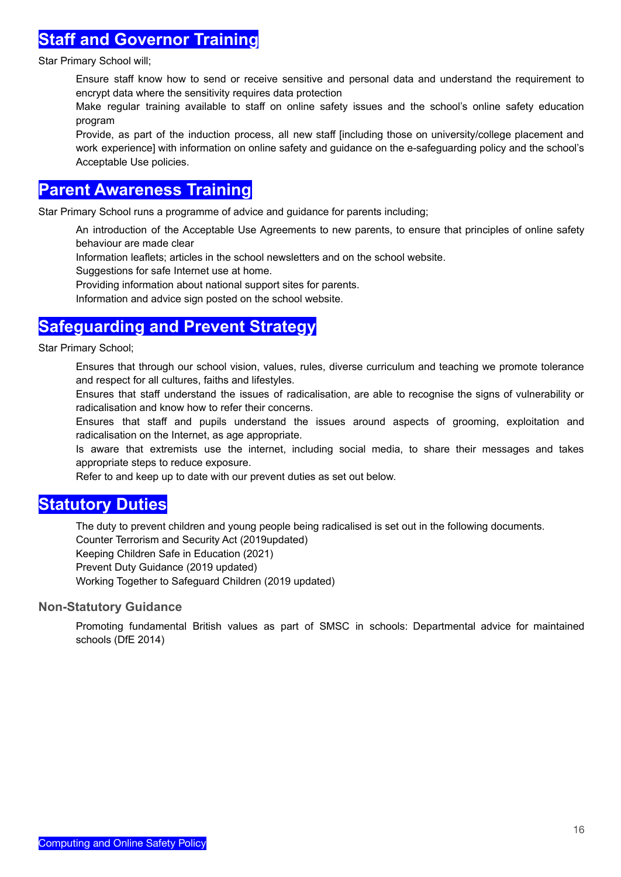### **Staff and Governor Training**

Star Primary School will;

Ensure staff know how to send or receive sensitive and personal data and understand the requirement to encrypt data where the sensitivity requires data protection

Make regular training available to staff on online safety issues and the school's online safety education program

Provide, as part of the induction process, all new staff [including those on university/college placement and work experience] with information on online safety and guidance on the e-safeguarding policy and the school's Acceptable Use policies.

### **Parent Awareness Training**

Star Primary School runs a programme of advice and guidance for parents including;

An introduction of the Acceptable Use Agreements to new parents, to ensure that principles of online safety behaviour are made clear

Information leaflets; articles in the school newsletters and on the school website.

Suggestions for safe Internet use at home.

Providing information about national support sites for parents.

Information and advice sign posted on the school website.

### **Safeguarding and Prevent Strategy**

Star Primary School;

Ensures that through our school vision, values, rules, diverse curriculum and teaching we promote tolerance and respect for all cultures, faiths and lifestyles.

Ensures that staff understand the issues of radicalisation, are able to recognise the signs of vulnerability or radicalisation and know how to refer their concerns.

Ensures that staff and pupils understand the issues around aspects of grooming, exploitation and radicalisation on the Internet, as age appropriate.

Is aware that extremists use the internet, including social media, to share their messages and takes appropriate steps to reduce exposure.

Refer to and keep up to date with our prevent duties as set out below.

### **Statutory Duties**

The duty to prevent children and young people being radicalised is set out in the following documents.

Counter Terrorism and Security Act (2019updated)

Keeping Children Safe in Education (2021)

Prevent Duty Guidance (2019 updated)

Working Together to Safeguard Children (2019 updated)

### **Non-Statutory Guidance**

Promoting fundamental British values as part of SMSC in schools: Departmental advice for maintained schools (DfE 2014)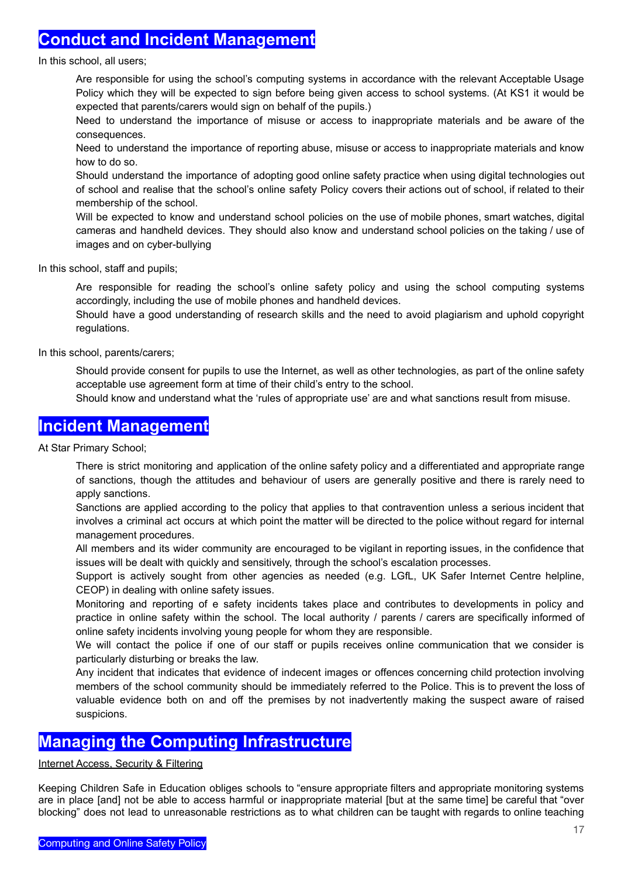### **Conduct and Incident Management**

In this school, all users;

Are responsible for using the school's computing systems in accordance with the relevant Acceptable Usage Policy which they will be expected to sign before being given access to school systems. (At KS1 it would be expected that parents/carers would sign on behalf of the pupils.)

Need to understand the importance of misuse or access to inappropriate materials and be aware of the consequences.

Need to understand the importance of reporting abuse, misuse or access to inappropriate materials and know how to do so.

Should understand the importance of adopting good online safety practice when using digital technologies out of school and realise that the school's online safety Policy covers their actions out of school, if related to their membership of the school.

Will be expected to know and understand school policies on the use of mobile phones, smart watches, digital cameras and handheld devices. They should also know and understand school policies on the taking / use of images and on cyber-bullying

In this school, staff and pupils;

Are responsible for reading the school's online safety policy and using the school computing systems accordingly, including the use of mobile phones and handheld devices.

Should have a good understanding of research skills and the need to avoid plagiarism and uphold copyright regulations.

In this school, parents/carers;

Should provide consent for pupils to use the Internet, as well as other technologies, as part of the online safety acceptable use agreement form at time of their child's entry to the school.

Should know and understand what the 'rules of appropriate use' are and what sanctions result from misuse.

### **Incident Management**

At Star Primary School;

There is strict monitoring and application of the online safety policy and a differentiated and appropriate range of sanctions, though the attitudes and behaviour of users are generally positive and there is rarely need to apply sanctions.

Sanctions are applied according to the policy that applies to that contravention unless a serious incident that involves a criminal act occurs at which point the matter will be directed to the police without regard for internal management procedures.

All members and its wider community are encouraged to be vigilant in reporting issues, in the confidence that issues will be dealt with quickly and sensitively, through the school's escalation processes.

Support is actively sought from other agencies as needed (e.g. LGfL, UK Safer Internet Centre helpline, CEOP) in dealing with online safety issues.

Monitoring and reporting of e safety incidents takes place and contributes to developments in policy and practice in online safety within the school. The local authority / parents / carers are specifically informed of online safety incidents involving young people for whom they are responsible.

We will contact the police if one of our staff or pupils receives online communication that we consider is particularly disturbing or breaks the law.

Any incident that indicates that evidence of indecent images or offences concerning child protection involving members of the school community should be immediately referred to the Police. This is to prevent the loss of valuable evidence both on and off the premises by not inadvertently making the suspect aware of raised suspicions.

### **Managing the Computing Infrastructure**

#### Internet Access, Security & Filtering

Keeping Children Safe in Education obliges schools to "ensure appropriate filters and appropriate monitoring systems are in place [and] not be able to access harmful or inappropriate material [but at the same time] be careful that "over blocking" does not lead to unreasonable restrictions as to what children can be taught with regards to online teaching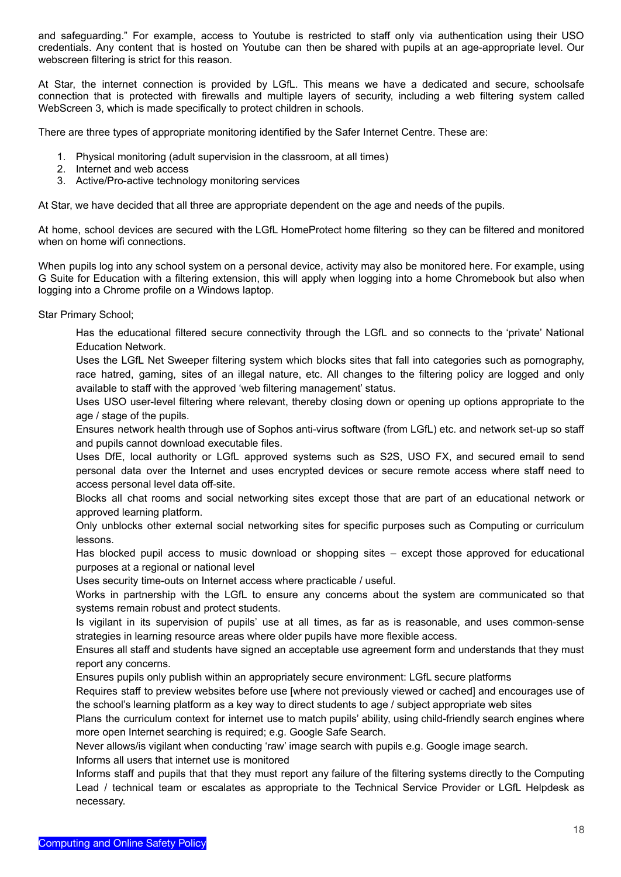and safeguarding." For example, access to Youtube is restricted to staff only via authentication using their USO credentials. Any content that is hosted on Youtube can then be shared with pupils at an age-appropriate level. Our webscreen filtering is strict for this reason.

At Star, the internet connection is provided by LGfL. This means we have a dedicated and secure, schoolsafe connection that is protected with firewalls and multiple layers of security, including a web filtering system called WebScreen 3, which is made specifically to protect children in schools.

There are three types of appropriate monitoring identified by the Safer Internet Centre. These are:

- 1. Physical monitoring (adult supervision in the classroom, at all times)
- 2. Internet and web access
- 3. Active/Pro-active technology monitoring services

At Star, we have decided that all three are appropriate dependent on the age and needs of the pupils.

At home, school devices are secured with the LGfL HomeProtect home filtering so they can be filtered and monitored when on home wifi connections.

When pupils log into any school system on a personal device, activity may also be monitored here. For example, using G Suite for Education with a filtering extension, this will apply when logging into a home Chromebook but also when logging into a Chrome profile on a Windows laptop.

Star Primary School;

Has the educational filtered secure connectivity through the LGfL and so connects to the 'private' National Education Network.

Uses the LGfL Net Sweeper filtering system which blocks sites that fall into categories such as pornography, race hatred, gaming, sites of an illegal nature, etc. All changes to the filtering policy are logged and only available to staff with the approved 'web filtering management' status.

Uses USO user-level filtering where relevant, thereby closing down or opening up options appropriate to the age / stage of the pupils.

Ensures network health through use of Sophos anti-virus software (from LGfL) etc. and network set-up so staff and pupils cannot download executable files.

Uses DfE, local authority or LGfL approved systems such as S2S, USO FX, and secured email to send personal data over the Internet and uses encrypted devices or secure remote access where staff need to access personal level data off-site.

Blocks all chat rooms and social networking sites except those that are part of an educational network or approved learning platform.

Only unblocks other external social networking sites for specific purposes such as Computing or curriculum lessons.

Has blocked pupil access to music download or shopping sites – except those approved for educational purposes at a regional or national level

Uses security time-outs on Internet access where practicable / useful.

Works in partnership with the LGfL to ensure any concerns about the system are communicated so that systems remain robust and protect students.

Is vigilant in its supervision of pupils' use at all times, as far as is reasonable, and uses common-sense strategies in learning resource areas where older pupils have more flexible access.

Ensures all staff and students have signed an acceptable use agreement form and understands that they must report any concerns.

Ensures pupils only publish within an appropriately secure environment: LGfL secure platforms

Requires staff to preview websites before use [where not previously viewed or cached] and encourages use of the school's learning platform as a key way to direct students to age / subject appropriate web sites

Plans the curriculum context for internet use to match pupils' ability, using child-friendly search engines where more open Internet searching is required; e.g. Google Safe Search.

Never allows/is vigilant when conducting 'raw' image search with pupils e.g. Google image search.

Informs all users that internet use is monitored

Informs staff and pupils that that they must report any failure of the filtering systems directly to the Computing Lead / technical team or escalates as appropriate to the Technical Service Provider or LGfL Helpdesk as necessary.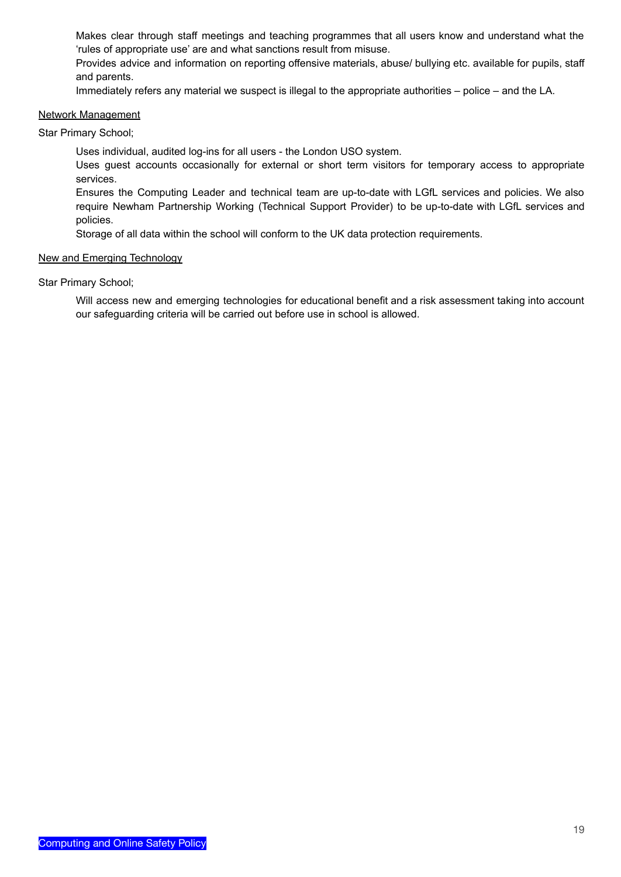Makes clear through staff meetings and teaching programmes that all users know and understand what the 'rules of appropriate use' are and what sanctions result from misuse.

Provides advice and information on reporting offensive materials, abuse/ bullying etc. available for pupils, staff and parents.

Immediately refers any material we suspect is illegal to the appropriate authorities – police – and the LA.

#### Network Management

Star Primary School;

Uses individual, audited log-ins for all users - the London USO system.

Uses guest accounts occasionally for external or short term visitors for temporary access to appropriate services.

Ensures the Computing Leader and technical team are up-to-date with LGfL services and policies. We also require Newham Partnership Working (Technical Support Provider) to be up-to-date with LGfL services and policies.

Storage of all data within the school will conform to the UK data protection requirements.

#### New and Emerging Technology

Star Primary School;

Will access new and emerging technologies for educational benefit and a risk assessment taking into account our safeguarding criteria will be carried out before use in school is allowed.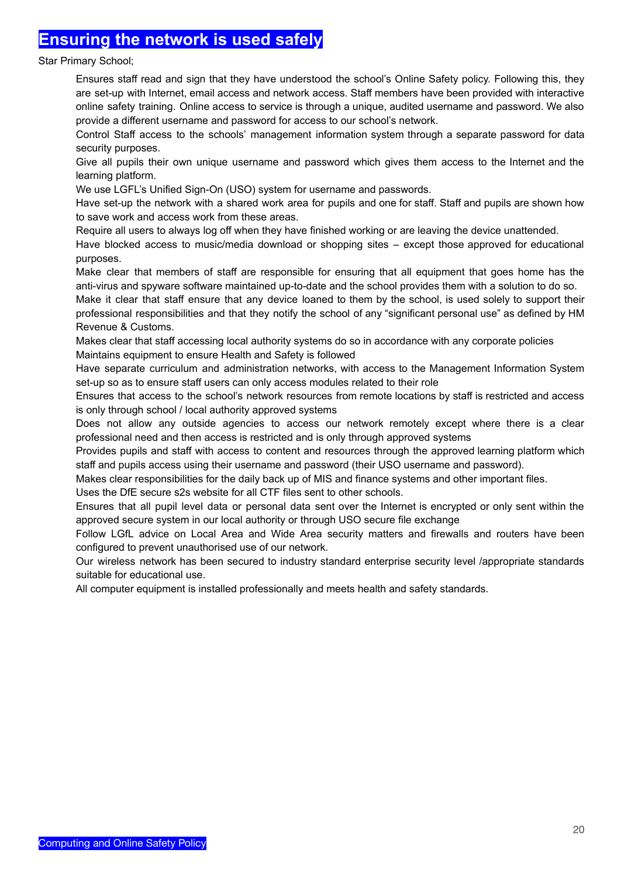### **Ensuring the network is used safely**

#### Star Primary School;

Ensures staff read and sign that they have understood the school's Online Safety policy. Following this, they are set-up with Internet, email access and network access. Staff members have been provided with interactive online safety training. Online access to service is through a unique, audited username and password. We also provide a different username and password for access to our school's network.

Control Staff access to the schools' management information system through a separate password for data security purposes.

Give all pupils their own unique username and password which gives them access to the Internet and the learning platform.

We use LGFL's Unified Sign-On (USO) system for username and passwords.

Have set-up the network with a shared work area for pupils and one for staff. Staff and pupils are shown how to save work and access work from these areas.

Require all users to always log off when they have finished working or are leaving the device unattended.

Have blocked access to music/media download or shopping sites – except those approved for educational purposes.

Make clear that members of staff are responsible for ensuring that all equipment that goes home has the anti-virus and spyware software maintained up-to-date and the school provides them with a solution to do so.

Make it clear that staff ensure that any device loaned to them by the school, is used solely to support their professional responsibilities and that they notify the school of any "significant personal use" as defined by HM Revenue & Customs.

Makes clear that staff accessing local authority systems do so in accordance with any corporate policies Maintains equipment to ensure Health and Safety is followed

Have separate curriculum and administration networks, with access to the Management Information System set-up so as to ensure staff users can only access modules related to their role

Ensures that access to the school's network resources from remote locations by staff is restricted and access is only through school / local authority approved systems

Does not allow any outside agencies to access our network remotely except where there is a clear professional need and then access is restricted and is only through approved systems

Provides pupils and staff with access to content and resources through the approved learning platform which staff and pupils access using their username and password (their USO username and password).

Makes clear responsibilities for the daily back up of MIS and finance systems and other important files.

Uses the DfE secure s2s website for all CTF files sent to other schools.

Ensures that all pupil level data or personal data sent over the Internet is encrypted or only sent within the approved secure system in our local authority or through USO secure file exchange

Follow LGfL advice on Local Area and Wide Area security matters and firewalls and routers have been configured to prevent unauthorised use of our network.

Our wireless network has been secured to industry standard enterprise security level /appropriate standards suitable for educational use.

All computer equipment is installed professionally and meets health and safety standards.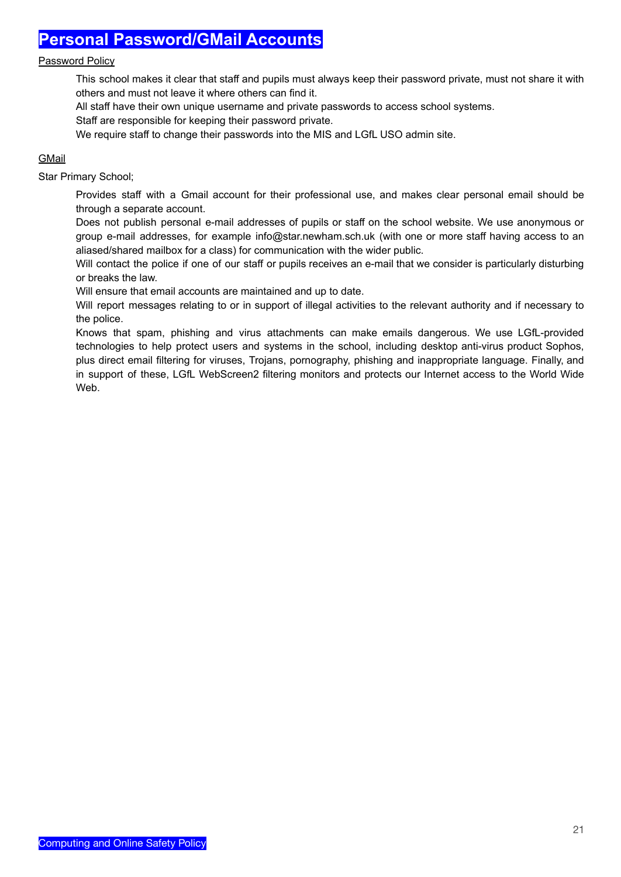### **Personal Password/GMail Accounts**

#### Password Policy

This school makes it clear that staff and pupils must always keep their password private, must not share it with others and must not leave it where others can find it.

All staff have their own unique username and private passwords to access school systems.

Staff are responsible for keeping their password private.

We require staff to change their passwords into the MIS and LGfL USO admin site.

### **GMail**

Star Primary School;

Provides staff with a Gmail account for their professional use, and makes clear personal email should be through a separate account.

Does not publish personal e-mail addresses of pupils or staff on the school website. We use anonymous or group e-mail addresses, for example info@star.newham.sch.uk (with one or more staff having access to an aliased/shared mailbox for a class) for communication with the wider public.

Will contact the police if one of our staff or pupils receives an e-mail that we consider is particularly disturbing or breaks the law.

Will ensure that email accounts are maintained and up to date.

Will report messages relating to or in support of illegal activities to the relevant authority and if necessary to the police.

Knows that spam, phishing and virus attachments can make emails dangerous. We use LGfL-provided technologies to help protect users and systems in the school, including desktop anti-virus product Sophos, plus direct email filtering for viruses, Trojans, pornography, phishing and inappropriate language. Finally, and in support of these, LGfL WebScreen2 filtering monitors and protects our Internet access to the World Wide Web.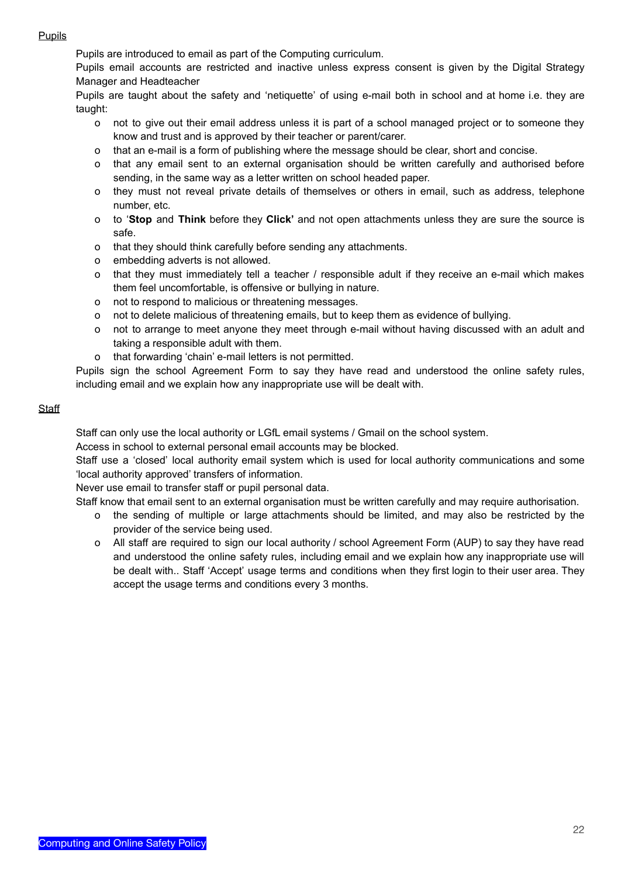### **Pupils**

Pupils are introduced to email as part of the Computing curriculum.

Pupils email accounts are restricted and inactive unless express consent is given by the Digital Strategy Manager and Headteacher

Pupils are taught about the safety and 'netiquette' of using e-mail both in school and at home i.e. they are taught:

- o not to give out their email address unless it is part of a school managed project or to someone they know and trust and is approved by their teacher or parent/carer.
- o that an e-mail is a form of publishing where the message should be clear, short and concise.
- o that any email sent to an external organisation should be written carefully and authorised before sending, in the same way as a letter written on school headed paper.
- o they must not reveal private details of themselves or others in email, such as address, telephone number, etc.
- o to '**Stop** and **Think** before they **Click'** and not open attachments unless they are sure the source is safe.
- o that they should think carefully before sending any attachments.
- o embedding adverts is not allowed.
- o that they must immediately tell a teacher / responsible adult if they receive an e-mail which makes them feel uncomfortable, is offensive or bullying in nature.
- o not to respond to malicious or threatening messages.
- o not to delete malicious of threatening emails, but to keep them as evidence of bullying.
- o not to arrange to meet anyone they meet through e-mail without having discussed with an adult and taking a responsible adult with them.
- o that forwarding 'chain' e-mail letters is not permitted.

Pupils sign the school Agreement Form to say they have read and understood the online safety rules, including email and we explain how any inappropriate use will be dealt with.

### **Staff**

Staff can only use the local authority or LGfL email systems / Gmail on the school system.

Access in school to external personal email accounts may be blocked.

Staff use a 'closed' local authority email system which is used for local authority communications and some 'local authority approved' transfers of information.

Never use email to transfer staff or pupil personal data.

Staff know that email sent to an external organisation must be written carefully and may require authorisation.

- o the sending of multiple or large attachments should be limited, and may also be restricted by the provider of the service being used.
- o All staff are required to sign our local authority / school Agreement Form (AUP) to say they have read and understood the online safety rules, including email and we explain how any inappropriate use will be dealt with.. Staff 'Accept' usage terms and conditions when they first login to their user area. They accept the usage terms and conditions every 3 months.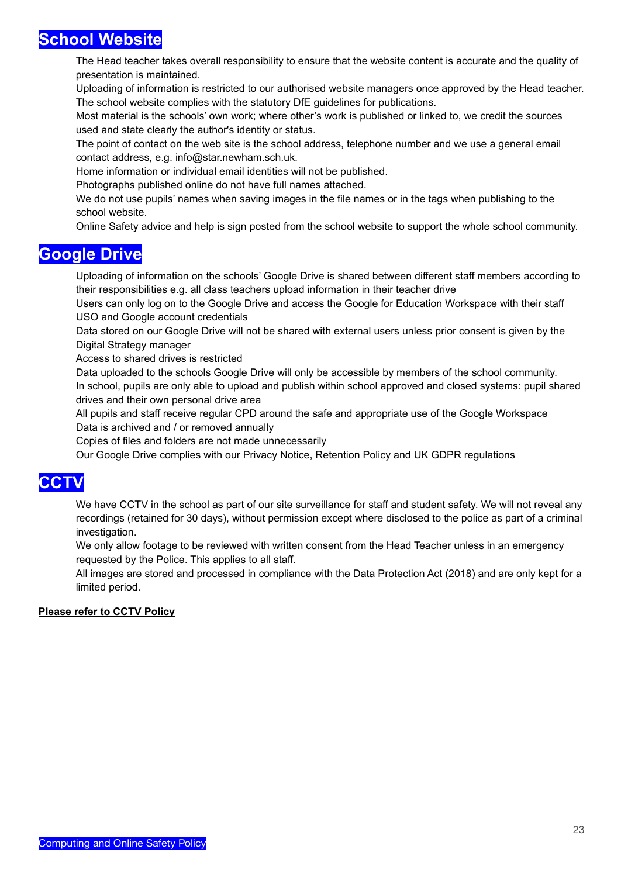### **School Website**

The Head teacher takes overall responsibility to ensure that the website content is accurate and the quality of presentation is maintained.

Uploading of information is restricted to our authorised website managers once approved by the Head teacher. The school website complies with the statutory DfE guidelines for publications.

Most material is the schools' own work; where other's work is published or linked to, we credit the sources used and state clearly the author's identity or status.

The point of contact on the web site is the school address, telephone number and we use a general email contact address, e.g. info@star.newham.sch.uk.

Home information or individual email identities will not be published.

Photographs published online do not have full names attached.

We do not use pupils' names when saving images in the file names or in the tags when publishing to the school website.

Online Safety advice and help is sign posted from the school website to support the whole school community.

### **Google Drive**

Uploading of information on the schools' Google Drive is shared between different staff members according to their responsibilities e.g. all class teachers upload information in their teacher drive

Users can only log on to the Google Drive and access the Google for Education Workspace with their staff USO and Google account credentials

Data stored on our Google Drive will not be shared with external users unless prior consent is given by the Digital Strategy manager

Access to shared drives is restricted

Data uploaded to the schools Google Drive will only be accessible by members of the school community. In school, pupils are only able to upload and publish within school approved and closed systems: pupil shared drives and their own personal drive area

All pupils and staff receive regular CPD around the safe and appropriate use of the Google Workspace Data is archived and / or removed annually

Copies of files and folders are not made unnecessarily

Our Google Drive complies with our Privacy Notice, Retention Policy and UK GDPR regulations

## **CCTV**

We have CCTV in the school as part of our site surveillance for staff and student safety. We will not reveal any recordings (retained for 30 days), without permission except where disclosed to the police as part of a criminal investigation.

We only allow footage to be reviewed with written consent from the Head Teacher unless in an emergency requested by the Police. This applies to all staff.

All images are stored and processed in compliance with the Data Protection Act (2018) and are only kept for a limited period.

#### **Please refer to CCTV Policy**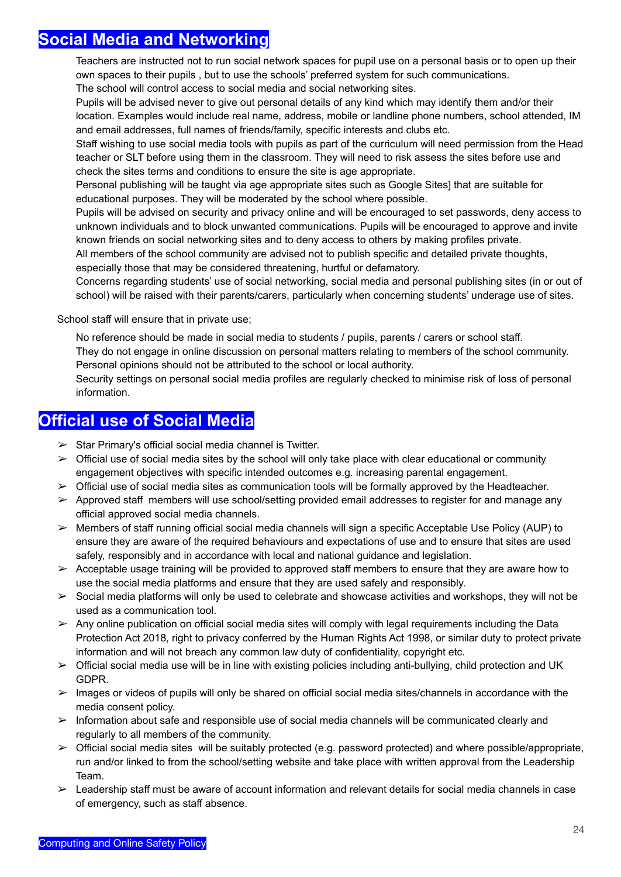### **Social Media and Networking**

Teachers are instructed not to run social network spaces for pupil use on a personal basis or to open up their own spaces to their pupils , but to use the schools' preferred system for such communications.

The school will control access to social media and social networking sites.

Pupils will be advised never to give out personal details of any kind which may identify them and/or their location. Examples would include real name, address, mobile or landline phone numbers, school attended, IM and email addresses, full names of friends/family, specific interests and clubs etc.

Staff wishing to use social media tools with pupils as part of the curriculum will need permission from the Head teacher or SLT before using them in the classroom. They will need to risk assess the sites before use and check the sites terms and conditions to ensure the site is age appropriate.

Personal publishing will be taught via age appropriate sites such as Google Sites] that are suitable for educational purposes. They will be moderated by the school where possible.

Pupils will be advised on security and privacy online and will be encouraged to set passwords, deny access to unknown individuals and to block unwanted communications. Pupils will be encouraged to approve and invite known friends on social networking sites and to deny access to others by making profiles private.

All members of the school community are advised not to publish specific and detailed private thoughts, especially those that may be considered threatening, hurtful or defamatory.

Concerns regarding students' use of social networking, social media and personal publishing sites (in or out of school) will be raised with their parents/carers, particularly when concerning students' underage use of sites.

School staff will ensure that in private use;

No reference should be made in social media to students / pupils, parents / carers or school staff.

They do not engage in online discussion on personal matters relating to members of the school community. Personal opinions should not be attributed to the school or local authority.

Security settings on personal social media profiles are regularly checked to minimise risk of loss of personal information.

### **Official use of Social Media**

- $\triangleright$  Star Primary's official social media channel is Twitter.
- $\triangleright$  Official use of social media sites by the school will only take place with clear educational or community engagement objectives with specific intended outcomes e.g. increasing parental engagement.
- $\triangleright$  Official use of social media sites as communication tools will be formally approved by the Headteacher.
- $\triangleright$  Approved staff members will use school/setting provided email addresses to register for and manage any official approved social media channels.
- ➢ Members of staff running official social media channels will sign a specific Acceptable Use Policy (AUP) to ensure they are aware of the required behaviours and expectations of use and to ensure that sites are used safely, responsibly and in accordance with local and national guidance and legislation.
- $\triangleright$  Acceptable usage training will be provided to approved staff members to ensure that they are aware how to use the social media platforms and ensure that they are used safely and responsibly.
- $\triangleright$  Social media platforms will only be used to celebrate and showcase activities and workshops, they will not be used as a communication tool.
- $\triangleright$  Any online publication on official social media sites will comply with legal requirements including the Data Protection Act 2018, right to privacy conferred by the Human Rights Act 1998, or similar duty to protect private information and will not breach any common law duty of confidentiality, copyright etc.
- ➢ Official social media use will be in line with existing policies including anti-bullying, child protection and UK GDPR.
- ➢ Images or videos of pupils will only be shared on official social media sites/channels in accordance with the media consent policy.
- $\triangleright$  Information about safe and responsible use of social media channels will be communicated clearly and regularly to all members of the community.
- $\triangleright$  Official social media sites will be suitably protected (e.g. password protected) and where possible/appropriate, run and/or linked to from the school/setting website and take place with written approval from the Leadership Team.
- $\triangleright$  Leadership staff must be aware of account information and relevant details for social media channels in case of emergency, such as staff absence.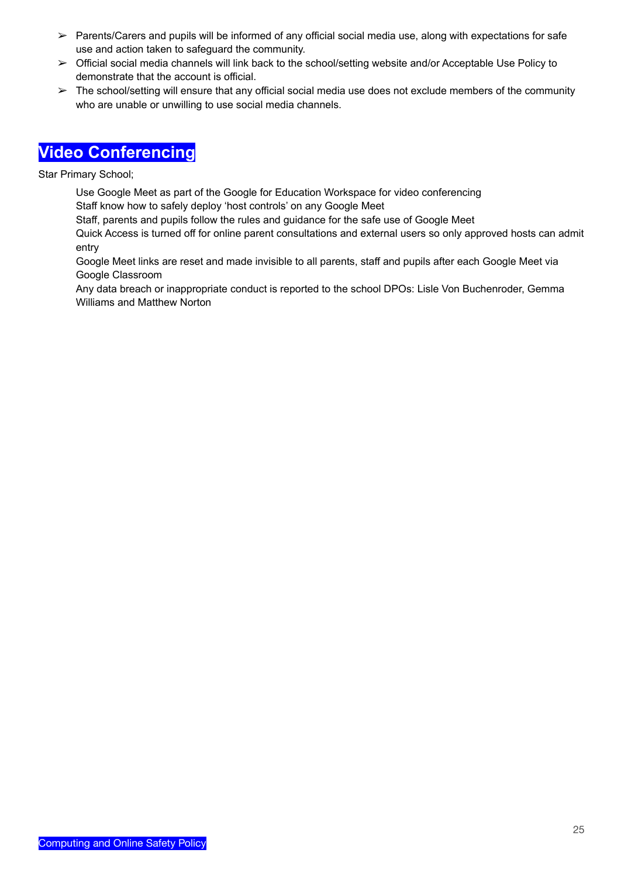- $\triangleright$  Parents/Carers and pupils will be informed of any official social media use, along with expectations for safe use and action taken to safeguard the community.
- ➢ Official social media channels will link back to the school/setting website and/or Acceptable Use Policy to demonstrate that the account is official.
- $\triangleright$  The school/setting will ensure that any official social media use does not exclude members of the community who are unable or unwilling to use social media channels.

# **Video Conferencing**

Star Primary School;

Use Google Meet as part of the Google for Education Workspace for video conferencing Staff know how to safely deploy 'host controls' on any Google Meet

Staff, parents and pupils follow the rules and guidance for the safe use of Google Meet

Quick Access is turned off for online parent consultations and external users so only approved hosts can admit entry

Google Meet links are reset and made invisible to all parents, staff and pupils after each Google Meet via Google Classroom

Any data breach or inappropriate conduct is reported to the school DPOs: Lisle Von Buchenroder, Gemma Williams and Matthew Norton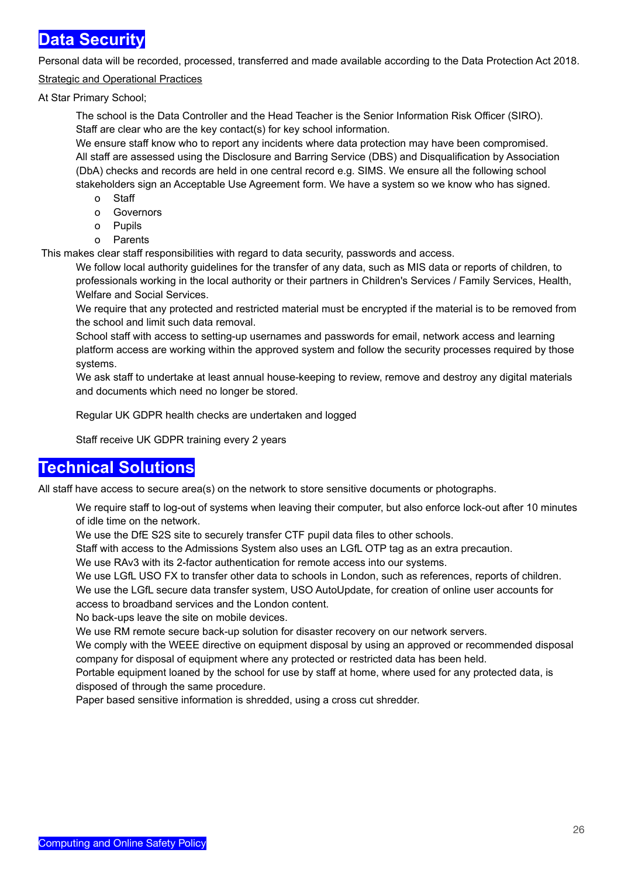### **Data Security**

Personal data will be recorded, processed, transferred and made available according to the Data Protection Act 2018.

### Strategic and Operational Practices

At Star Primary School;

The school is the Data Controller and the Head Teacher is the Senior Information Risk Officer (SIRO). Staff are clear who are the key contact(s) for key school information.

We ensure staff know who to report any incidents where data protection may have been compromised. All staff are assessed using the Disclosure and Barring Service (DBS) and Disqualification by Association (DbA) checks and records are held in one central record e.g. SIMS. We ensure all the following school stakeholders sign an Acceptable Use Agreement form. We have a system so we know who has signed.

- o Staff
- o Governors
- o Pupils
- o Parents

This makes clear staff responsibilities with regard to data security, passwords and access.

We follow local authority guidelines for the transfer of any data, such as MIS data or reports of children, to professionals working in the local authority or their partners in Children's Services / Family Services, Health, Welfare and Social Services.

We require that any protected and restricted material must be encrypted if the material is to be removed from the school and limit such data removal.

School staff with access to setting-up usernames and passwords for email, network access and learning platform access are working within the approved system and follow the security processes required by those systems.

We ask staff to undertake at least annual house-keeping to review, remove and destroy any digital materials and documents which need no longer be stored.

Regular UK GDPR health checks are undertaken and logged

Staff receive UK GDPR training every 2 years

### **Technical Solutions**

All staff have access to secure area(s) on the network to store sensitive documents or photographs.

We require staff to log-out of systems when leaving their computer, but also enforce lock-out after 10 minutes of idle time on the network.

We use the DfE S2S site to securely transfer CTF pupil data files to other schools.

Staff with access to the Admissions System also uses an LGfL OTP tag as an extra precaution.

We use RAv3 with its 2-factor authentication for remote access into our systems.

We use LGfL USO FX to transfer other data to schools in London, such as references, reports of children.

We use the LGfL secure data transfer system, USO AutoUpdate, for creation of online user accounts for access to broadband services and the London content.

No back-ups leave the site on mobile devices.

We use RM remote secure back-up solution for disaster recovery on our network servers.

We comply with the WEEE directive on equipment disposal by using an approved or recommended disposal company for disposal of equipment where any protected or restricted data has been held.

Portable equipment loaned by the school for use by staff at home, where used for any protected data, is disposed of through the same procedure.

Paper based sensitive information is shredded, using a cross cut shredder.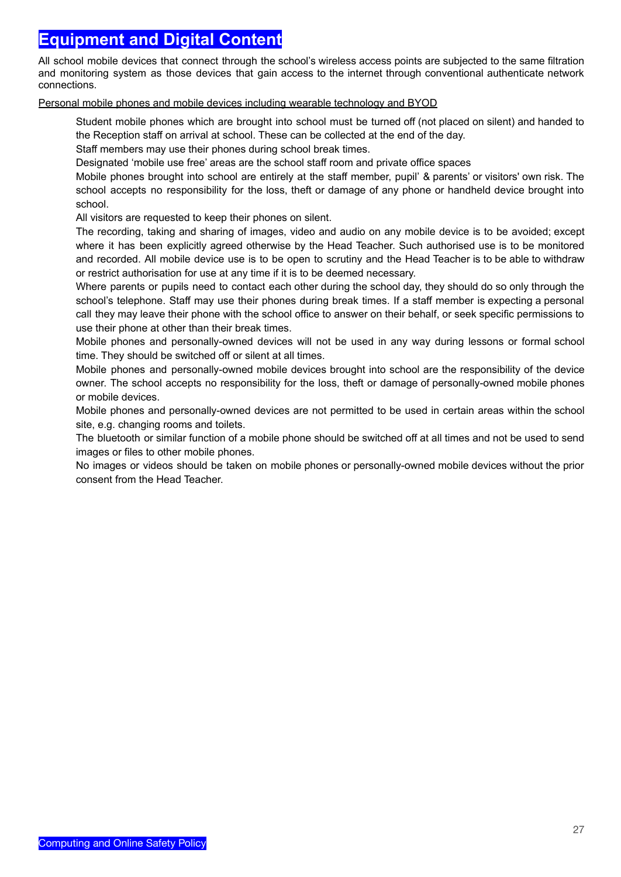### **Equipment and Digital Content**

All school mobile devices that connect through the school's wireless access points are subjected to the same filtration and monitoring system as those devices that gain access to the internet through conventional authenticate network connections.

#### Personal mobile phones and mobile devices including wearable technology and BYOD

Student mobile phones which are brought into school must be turned off (not placed on silent) and handed to the Reception staff on arrival at school. These can be collected at the end of the day.

Staff members may use their phones during school break times.

Designated 'mobile use free' areas are the school staff room and private office spaces

Mobile phones brought into school are entirely at the staff member, pupil' & parents' or visitors' own risk. The school accepts no responsibility for the loss, theft or damage of any phone or handheld device brought into school.

All visitors are requested to keep their phones on silent.

The recording, taking and sharing of images, video and audio on any mobile device is to be avoided; except where it has been explicitly agreed otherwise by the Head Teacher. Such authorised use is to be monitored and recorded. All mobile device use is to be open to scrutiny and the Head Teacher is to be able to withdraw or restrict authorisation for use at any time if it is to be deemed necessary.

Where parents or pupils need to contact each other during the school day, they should do so only through the school's telephone. Staff may use their phones during break times. If a staff member is expecting a personal call they may leave their phone with the school office to answer on their behalf, or seek specific permissions to use their phone at other than their break times.

Mobile phones and personally-owned devices will not be used in any way during lessons or formal school time. They should be switched off or silent at all times.

Mobile phones and personally-owned mobile devices brought into school are the responsibility of the device owner. The school accepts no responsibility for the loss, theft or damage of personally-owned mobile phones or mobile devices.

Mobile phones and personally-owned devices are not permitted to be used in certain areas within the school site, e.g. changing rooms and toilets.

The bluetooth or similar function of a mobile phone should be switched off at all times and not be used to send images or files to other mobile phones.

No images or videos should be taken on mobile phones or personally-owned mobile devices without the prior consent from the Head Teacher.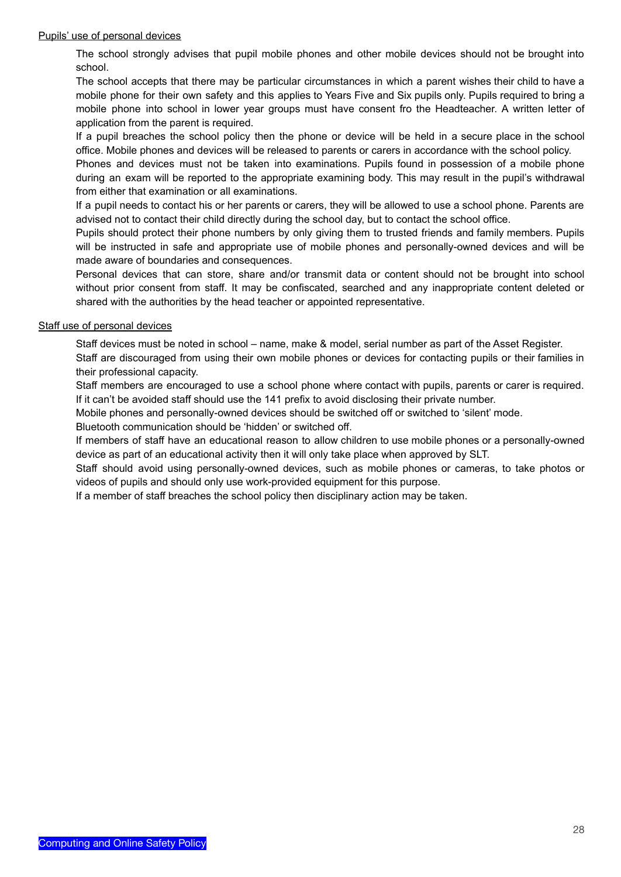#### Pupils' use of personal devices

The school strongly advises that pupil mobile phones and other mobile devices should not be brought into school.

The school accepts that there may be particular circumstances in which a parent wishes their child to have a mobile phone for their own safety and this applies to Years Five and Six pupils only. Pupils required to bring a mobile phone into school in lower year groups must have consent fro the Headteacher. A written letter of application from the parent is required.

If a pupil breaches the school policy then the phone or device will be held in a secure place in the school office. Mobile phones and devices will be released to parents or carers in accordance with the school policy.

Phones and devices must not be taken into examinations. Pupils found in possession of a mobile phone during an exam will be reported to the appropriate examining body. This may result in the pupil's withdrawal from either that examination or all examinations.

If a pupil needs to contact his or her parents or carers, they will be allowed to use a school phone. Parents are advised not to contact their child directly during the school day, but to contact the school office.

Pupils should protect their phone numbers by only giving them to trusted friends and family members. Pupils will be instructed in safe and appropriate use of mobile phones and personally-owned devices and will be made aware of boundaries and consequences.

Personal devices that can store, share and/or transmit data or content should not be brought into school without prior consent from staff. It may be confiscated, searched and any inappropriate content deleted or shared with the authorities by the head teacher or appointed representative.

#### Staff use of personal devices

Staff devices must be noted in school – name, make & model, serial number as part of the Asset Register.

Staff are discouraged from using their own mobile phones or devices for contacting pupils or their families in their professional capacity.

Staff members are encouraged to use a school phone where contact with pupils, parents or carer is required. If it can't be avoided staff should use the 141 prefix to avoid disclosing their private number.

Mobile phones and personally-owned devices should be switched off or switched to 'silent' mode.

Bluetooth communication should be 'hidden' or switched off.

If members of staff have an educational reason to allow children to use mobile phones or a personally-owned device as part of an educational activity then it will only take place when approved by SLT.

Staff should avoid using personally-owned devices, such as mobile phones or cameras, to take photos or videos of pupils and should only use work-provided equipment for this purpose.

If a member of staff breaches the school policy then disciplinary action may be taken.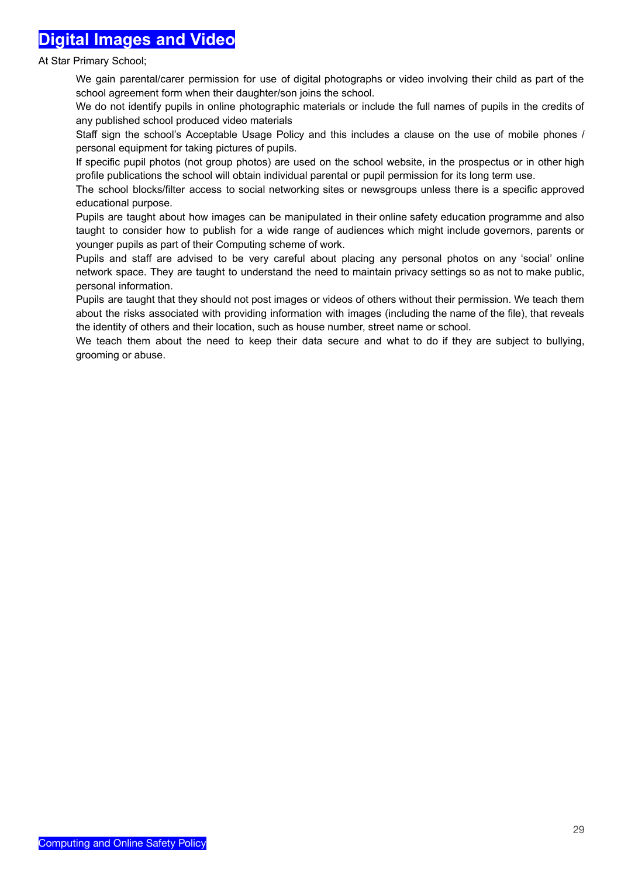## **Digital Images and Video**

At Star Primary School;

We gain parental/carer permission for use of digital photographs or video involving their child as part of the school agreement form when their daughter/son joins the school.

We do not identify pupils in online photographic materials or include the full names of pupils in the credits of any published school produced video materials

Staff sign the school's Acceptable Usage Policy and this includes a clause on the use of mobile phones / personal equipment for taking pictures of pupils.

If specific pupil photos (not group photos) are used on the school website, in the prospectus or in other high profile publications the school will obtain individual parental or pupil permission for its long term use.

The school blocks/filter access to social networking sites or newsgroups unless there is a specific approved educational purpose.

Pupils are taught about how images can be manipulated in their online safety education programme and also taught to consider how to publish for a wide range of audiences which might include governors, parents or younger pupils as part of their Computing scheme of work.

Pupils and staff are advised to be very careful about placing any personal photos on any 'social' online network space. They are taught to understand the need to maintain privacy settings so as not to make public, personal information.

Pupils are taught that they should not post images or videos of others without their permission. We teach them about the risks associated with providing information with images (including the name of the file), that reveals the identity of others and their location, such as house number, street name or school.

We teach them about the need to keep their data secure and what to do if they are subject to bullying, grooming or abuse.